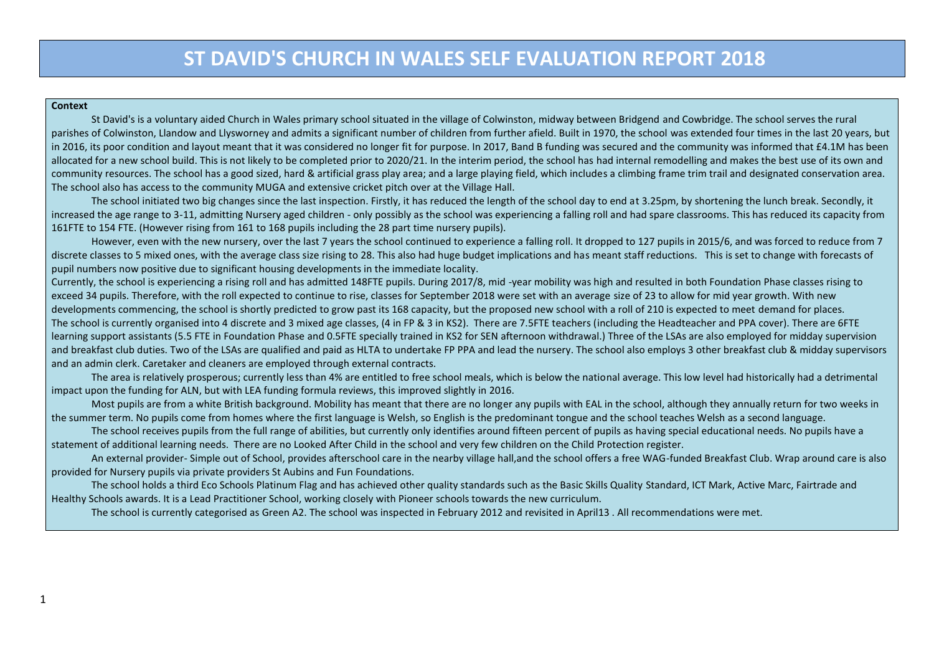#### **Context**

St David's is a voluntary aided Church in Wales primary school situated in the village of Colwinston, midway between Bridgend and Cowbridge. The school serves the rural parishes of Colwinston, Llandow and Llysworney and admits a significant number of children from further afield. Built in 1970, the school was extended four times in the last 20 years, but in 2016, its poor condition and layout meant that it was considered no longer fit for purpose. In 2017, Band B funding was secured and the community was informed that £4.1M has been allocated for a new school build. This is not likely to be completed prior to 2020/21. In the interim period, the school has had internal remodelling and makes the best use of its own and community resources. The school has a good sized, hard & artificial grass play area; and a large playing field, which includes a climbing frame trim trail and designated conservation area. The school also has access to the community MUGA and extensive cricket pitch over at the Village Hall.

The school initiated two big changes since the last inspection. Firstly, it has reduced the length of the school day to end at 3.25pm, by shortening the lunch break. Secondly, it increased the age range to 3-11, admitting Nursery aged children - only possibly as the school was experiencing a falling roll and had spare classrooms. This has reduced its capacity from 161FTE to 154 FTE. (However rising from 161 to 168 pupils including the 28 part time nursery pupils).

However, even with the new nursery, over the last 7 years the school continued to experience a falling roll. It dropped to 127 pupils in 2015/6, and was forced to reduce from 7 discrete classes to 5 mixed ones, with the average class size rising to 28. This also had huge budget implications and has meant staff reductions. This is set to change with forecasts of pupil numbers now positive due to significant housing developments in the immediate locality.

Currently, the school is experiencing a rising roll and has admitted 148FTE pupils. During 2017/8, mid -year mobility was high and resulted in both Foundation Phase classes rising to exceed 34 pupils. Therefore, with the roll expected to continue to rise, classes for September 2018 were set with an average size of 23 to allow for mid year growth. With new developments commencing, the school is shortly predicted to grow past its 168 capacity, but the proposed new school with a roll of 210 is expected to meet demand for places. The school is currently organised into 4 discrete and 3 mixed age classes, (4 in FP & 3 in KS2). There are 7.5FTE teachers (including the Headteacher and PPA cover). There are 6FTE learning support assistants (5.5 FTE in Foundation Phase and 0.5FTE specially trained in KS2 for SEN afternoon withdrawal.) Three of the LSAs are also employed for midday supervision and breakfast club duties. Two of the LSAs are qualified and paid as HLTA to undertake FP PPA and lead the nursery. The school also employs 3 other breakfast club & midday supervisors and an admin clerk. Caretaker and cleaners are employed through external contracts.

The area is relatively prosperous; currently less than 4% are entitled to free school meals, which is below the national average. This low level had historically had a detrimental impact upon the funding for ALN, but with LEA funding formula reviews, this improved slightly in 2016.

Most pupils are from a white British background. Mobility has meant that there are no longer any pupils with EAL in the school, although they annually return for two weeks in the summer term. No pupils come from homes where the first language is Welsh, so English is the predominant tongue and the school teaches Welsh as a second language.

The school receives pupils from the full range of abilities, but currently only identifies around fifteen percent of pupils as having special educational needs. No pupils have a statement of additional learning needs. There are no Looked After Child in the school and very few children on the Child Protection register.

An external provider- Simple out of School, provides afterschool care in the nearby village hall,and the school offers a free WAG-funded Breakfast Club. Wrap around care is also provided for Nursery pupils via private providers St Aubins and Fun Foundations.

The school holds a third Eco Schools Platinum Flag and has achieved other quality standards such as the Basic Skills Quality Standard, ICT Mark, Active Marc, Fairtrade and Healthy Schools awards. It is a Lead Practitioner School, working closely with Pioneer schools towards the new curriculum.

The school is currently categorised as Green A2. The school was inspected in February 2012 and revisited in April13 . All recommendations were met.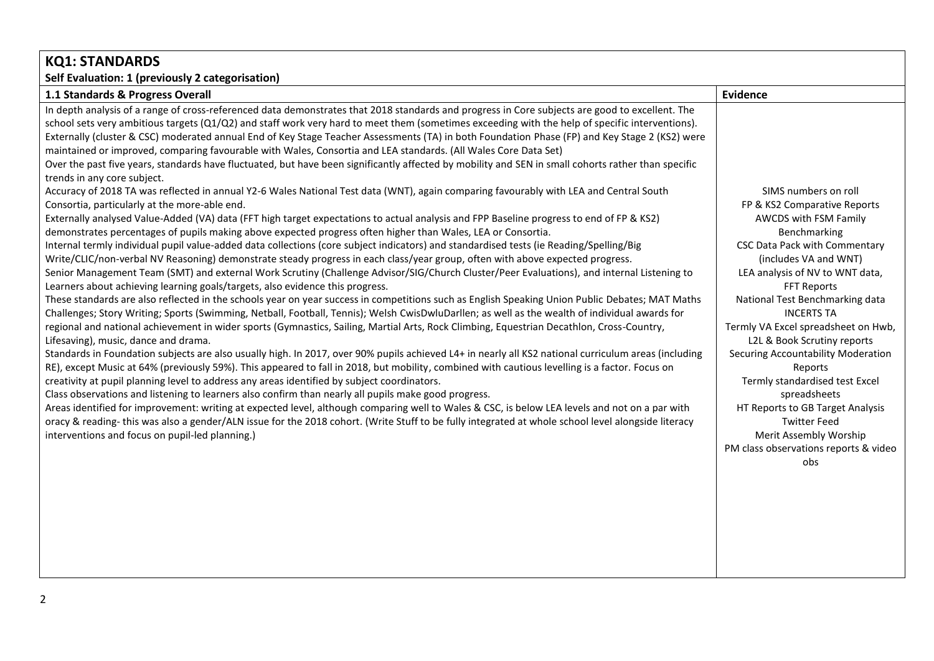| <b>KQ1: STANDARDS</b>                                                                                                                                                                                                                                                                                                                                                                                                                                                                                                                                                                                                                                                                                                                                                                                                                                                                                                                                                                                                                                                                                                                                                                                                                                                                                                                                                                                                                                                                                                                                                                                                                                                                                                                                                                                                                                                                                                                                                                                                                                                                                                                                                                                                                                                                                                                                                                                                                                                                                                                                                                                                                                                                                                                                                                                                                                                                                                                                                                                                                                                                                 |                                                                                                                                                                                                                                                                                                                                                                                                                                                                                                                                                                                        |
|-------------------------------------------------------------------------------------------------------------------------------------------------------------------------------------------------------------------------------------------------------------------------------------------------------------------------------------------------------------------------------------------------------------------------------------------------------------------------------------------------------------------------------------------------------------------------------------------------------------------------------------------------------------------------------------------------------------------------------------------------------------------------------------------------------------------------------------------------------------------------------------------------------------------------------------------------------------------------------------------------------------------------------------------------------------------------------------------------------------------------------------------------------------------------------------------------------------------------------------------------------------------------------------------------------------------------------------------------------------------------------------------------------------------------------------------------------------------------------------------------------------------------------------------------------------------------------------------------------------------------------------------------------------------------------------------------------------------------------------------------------------------------------------------------------------------------------------------------------------------------------------------------------------------------------------------------------------------------------------------------------------------------------------------------------------------------------------------------------------------------------------------------------------------------------------------------------------------------------------------------------------------------------------------------------------------------------------------------------------------------------------------------------------------------------------------------------------------------------------------------------------------------------------------------------------------------------------------------------------------------------------------------------------------------------------------------------------------------------------------------------------------------------------------------------------------------------------------------------------------------------------------------------------------------------------------------------------------------------------------------------------------------------------------------------------------------------------------------------|----------------------------------------------------------------------------------------------------------------------------------------------------------------------------------------------------------------------------------------------------------------------------------------------------------------------------------------------------------------------------------------------------------------------------------------------------------------------------------------------------------------------------------------------------------------------------------------|
| Self Evaluation: 1 (previously 2 categorisation)                                                                                                                                                                                                                                                                                                                                                                                                                                                                                                                                                                                                                                                                                                                                                                                                                                                                                                                                                                                                                                                                                                                                                                                                                                                                                                                                                                                                                                                                                                                                                                                                                                                                                                                                                                                                                                                                                                                                                                                                                                                                                                                                                                                                                                                                                                                                                                                                                                                                                                                                                                                                                                                                                                                                                                                                                                                                                                                                                                                                                                                      |                                                                                                                                                                                                                                                                                                                                                                                                                                                                                                                                                                                        |
| 1.1 Standards & Progress Overall                                                                                                                                                                                                                                                                                                                                                                                                                                                                                                                                                                                                                                                                                                                                                                                                                                                                                                                                                                                                                                                                                                                                                                                                                                                                                                                                                                                                                                                                                                                                                                                                                                                                                                                                                                                                                                                                                                                                                                                                                                                                                                                                                                                                                                                                                                                                                                                                                                                                                                                                                                                                                                                                                                                                                                                                                                                                                                                                                                                                                                                                      | <b>Evidence</b>                                                                                                                                                                                                                                                                                                                                                                                                                                                                                                                                                                        |
| In depth analysis of a range of cross-referenced data demonstrates that 2018 standards and progress in Core subjects are good to excellent. The<br>school sets very ambitious targets (Q1/Q2) and staff work very hard to meet them (sometimes exceeding with the help of specific interventions).<br>Externally (cluster & CSC) moderated annual End of Key Stage Teacher Assessments (TA) in both Foundation Phase (FP) and Key Stage 2 (KS2) were<br>maintained or improved, comparing favourable with Wales, Consortia and LEA standards. (All Wales Core Data Set)<br>Over the past five years, standards have fluctuated, but have been significantly affected by mobility and SEN in small cohorts rather than specific<br>trends in any core subject.<br>Accuracy of 2018 TA was reflected in annual Y2-6 Wales National Test data (WNT), again comparing favourably with LEA and Central South<br>Consortia, particularly at the more-able end.<br>Externally analysed Value-Added (VA) data (FFT high target expectations to actual analysis and FPP Baseline progress to end of FP & KS2)<br>demonstrates percentages of pupils making above expected progress often higher than Wales, LEA or Consortia.<br>Internal termly individual pupil value-added data collections (core subject indicators) and standardised tests (ie Reading/Spelling/Big<br>Write/CLIC/non-verbal NV Reasoning) demonstrate steady progress in each class/year group, often with above expected progress.<br>Senior Management Team (SMT) and external Work Scrutiny (Challenge Advisor/SIG/Church Cluster/Peer Evaluations), and internal Listening to<br>Learners about achieving learning goals/targets, also evidence this progress.<br>These standards are also reflected in the schools year on year success in competitions such as English Speaking Union Public Debates; MAT Maths<br>Challenges; Story Writing; Sports (Swimming, Netball, Football, Tennis); Welsh CwisDwluDarllen; as well as the wealth of individual awards for<br>regional and national achievement in wider sports (Gymnastics, Sailing, Martial Arts, Rock Climbing, Equestrian Decathlon, Cross-Country,<br>Lifesaving), music, dance and drama.<br>Standards in Foundation subjects are also usually high. In 2017, over 90% pupils achieved L4+ in nearly all KS2 national curriculum areas (including<br>RE), except Music at 64% (previously 59%). This appeared to fall in 2018, but mobility, combined with cautious levelling is a factor. Focus on<br>creativity at pupil planning level to address any areas identified by subject coordinators.<br>Class observations and listening to learners also confirm than nearly all pupils make good progress.<br>Areas identified for improvement: writing at expected level, although comparing well to Wales & CSC, is below LEA levels and not on a par with<br>oracy & reading-this was also a gender/ALN issue for the 2018 cohort. (Write Stuff to be fully integrated at whole school level alongside literacy<br>interventions and focus on pupil-led planning.) | SIMS numbers on roll<br>FP & KS2 Comparative Reports<br>AWCDS with FSM Family<br>Benchmarking<br><b>CSC Data Pack with Commentary</b><br>(includes VA and WNT)<br>LEA analysis of NV to WNT data,<br>FFT Reports<br>National Test Benchmarking data<br><b>INCERTS TA</b><br>Termly VA Excel spreadsheet on Hwb,<br>L2L & Book Scrutiny reports<br>Securing Accountability Moderation<br>Reports<br>Termly standardised test Excel<br>spreadsheets<br>HT Reports to GB Target Analysis<br><b>Twitter Feed</b><br>Merit Assembly Worship<br>PM class observations reports & video<br>obs |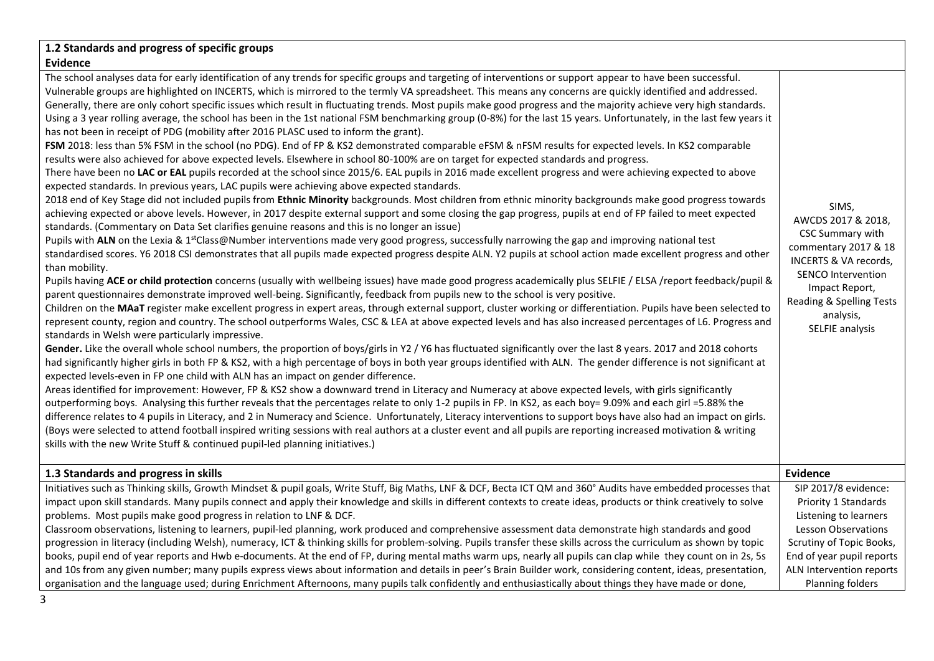| 1.2 Standards and progress of specific groups                                                                                                                                                                                                                                                                                                                                                                                                                                                                                                                                                                                                                                                                                                                                                                                                                                                                                                                                                                                                                                                                                                                                                                                                                                                                                                                                                                                                                                                                                                                                                                                                                                                                                                                                                                                                                                                                                                                                                                                                                                                                                                                                                                                                                                                                                                                                                                                                                                                                                                                                                                                                                                                                                                                                                                                                                                                                                                                                                                                                                                                                                                                                                                                                                                                                                                                                                                                                                                                                                                                                                                                                                                                                                                                                                                                                                                                                                                                                                       |                                                                                                                                                                                                      |
|-----------------------------------------------------------------------------------------------------------------------------------------------------------------------------------------------------------------------------------------------------------------------------------------------------------------------------------------------------------------------------------------------------------------------------------------------------------------------------------------------------------------------------------------------------------------------------------------------------------------------------------------------------------------------------------------------------------------------------------------------------------------------------------------------------------------------------------------------------------------------------------------------------------------------------------------------------------------------------------------------------------------------------------------------------------------------------------------------------------------------------------------------------------------------------------------------------------------------------------------------------------------------------------------------------------------------------------------------------------------------------------------------------------------------------------------------------------------------------------------------------------------------------------------------------------------------------------------------------------------------------------------------------------------------------------------------------------------------------------------------------------------------------------------------------------------------------------------------------------------------------------------------------------------------------------------------------------------------------------------------------------------------------------------------------------------------------------------------------------------------------------------------------------------------------------------------------------------------------------------------------------------------------------------------------------------------------------------------------------------------------------------------------------------------------------------------------------------------------------------------------------------------------------------------------------------------------------------------------------------------------------------------------------------------------------------------------------------------------------------------------------------------------------------------------------------------------------------------------------------------------------------------------------------------------------------------------------------------------------------------------------------------------------------------------------------------------------------------------------------------------------------------------------------------------------------------------------------------------------------------------------------------------------------------------------------------------------------------------------------------------------------------------------------------------------------------------------------------------------------------------------------------------------------------------------------------------------------------------------------------------------------------------------------------------------------------------------------------------------------------------------------------------------------------------------------------------------------------------------------------------------------------------------------------------------------------------------------------------------------------------|------------------------------------------------------------------------------------------------------------------------------------------------------------------------------------------------------|
| <b>Evidence</b>                                                                                                                                                                                                                                                                                                                                                                                                                                                                                                                                                                                                                                                                                                                                                                                                                                                                                                                                                                                                                                                                                                                                                                                                                                                                                                                                                                                                                                                                                                                                                                                                                                                                                                                                                                                                                                                                                                                                                                                                                                                                                                                                                                                                                                                                                                                                                                                                                                                                                                                                                                                                                                                                                                                                                                                                                                                                                                                                                                                                                                                                                                                                                                                                                                                                                                                                                                                                                                                                                                                                                                                                                                                                                                                                                                                                                                                                                                                                                                                     |                                                                                                                                                                                                      |
| The school analyses data for early identification of any trends for specific groups and targeting of interventions or support appear to have been successful.<br>Vulnerable groups are highlighted on INCERTS, which is mirrored to the termly VA spreadsheet. This means any concerns are quickly identified and addressed.<br>Generally, there are only cohort specific issues which result in fluctuating trends. Most pupils make good progress and the majority achieve very high standards.<br>Using a 3 year rolling average, the school has been in the 1st national FSM benchmarking group (0-8%) for the last 15 years. Unfortunately, in the last few years it<br>has not been in receipt of PDG (mobility after 2016 PLASC used to inform the grant).<br>FSM 2018: less than 5% FSM in the school (no PDG). End of FP & KS2 demonstrated comparable eFSM & nFSM results for expected levels. In KS2 comparable<br>results were also achieved for above expected levels. Elsewhere in school 80-100% are on target for expected standards and progress.<br>There have been no LAC or EAL pupils recorded at the school since 2015/6. EAL pupils in 2016 made excellent progress and were achieving expected to above<br>expected standards. In previous years, LAC pupils were achieving above expected standards.<br>2018 end of Key Stage did not included pupils from Ethnic Minority backgrounds. Most children from ethnic minority backgrounds make good progress towards<br>achieving expected or above levels. However, in 2017 despite external support and some closing the gap progress, pupils at end of FP failed to meet expected<br>standards. (Commentary on Data Set clarifies genuine reasons and this is no longer an issue)<br>Pupils with ALN on the Lexia & 1 <sup>st</sup> Class@Number interventions made very good progress, successfully narrowing the gap and improving national test<br>standardised scores. Y6 2018 CSI demonstrates that all pupils made expected progress despite ALN. Y2 pupils at school action made excellent progress and other<br>than mobility.<br>Pupils having ACE or child protection concerns (usually with wellbeing issues) have made good progress academically plus SELFIE / ELSA /report feedback/pupil &<br>parent questionnaires demonstrate improved well-being. Significantly, feedback from pupils new to the school is very positive.<br>Children on the MAaT register make excellent progress in expert areas, through external support, cluster working or differentiation. Pupils have been selected to<br>represent county, region and country. The school outperforms Wales, CSC & LEA at above expected levels and has also increased percentages of L6. Progress and<br>standards in Welsh were particularly impressive.<br>Gender. Like the overall whole school numbers, the proportion of boys/girls in Y2 / Y6 has fluctuated significantly over the last 8 years. 2017 and 2018 cohorts<br>had significantly higher girls in both FP & KS2, with a high percentage of boys in both year groups identified with ALN. The gender difference is not significant at<br>expected levels-even in FP one child with ALN has an impact on gender difference.<br>Areas identified for improvement: However, FP & KS2 show a downward trend in Literacy and Numeracy at above expected levels, with girls significantly<br>outperforming boys. Analysing this further reveals that the percentages relate to only 1-2 pupils in FP. In KS2, as each boy= 9.09% and each girl =5.88% the<br>difference relates to 4 pupils in Literacy, and 2 in Numeracy and Science. Unfortunately, Literacy interventions to support boys have also had an impact on girls.<br>(Boys were selected to attend football inspired writing sessions with real authors at a cluster event and all pupils are reporting increased motivation & writing<br>skills with the new Write Stuff & continued pupil-led planning initiatives.) | SIMS,<br>AWCDS 2017 & 2018,<br>CSC Summary with<br>commentary 2017 & 18<br>INCERTS & VA records,<br>SENCO Intervention<br>Impact Report,<br>Reading & Spelling Tests<br>analysis,<br>SELFIE analysis |
| 1.3 Standards and progress in skills                                                                                                                                                                                                                                                                                                                                                                                                                                                                                                                                                                                                                                                                                                                                                                                                                                                                                                                                                                                                                                                                                                                                                                                                                                                                                                                                                                                                                                                                                                                                                                                                                                                                                                                                                                                                                                                                                                                                                                                                                                                                                                                                                                                                                                                                                                                                                                                                                                                                                                                                                                                                                                                                                                                                                                                                                                                                                                                                                                                                                                                                                                                                                                                                                                                                                                                                                                                                                                                                                                                                                                                                                                                                                                                                                                                                                                                                                                                                                                | <b>Evidence</b>                                                                                                                                                                                      |
| Initiatives such as Thinking skills, Growth Mindset & pupil goals, Write Stuff, Big Maths, LNF & DCF, Becta ICT QM and 360° Audits have embedded processes that                                                                                                                                                                                                                                                                                                                                                                                                                                                                                                                                                                                                                                                                                                                                                                                                                                                                                                                                                                                                                                                                                                                                                                                                                                                                                                                                                                                                                                                                                                                                                                                                                                                                                                                                                                                                                                                                                                                                                                                                                                                                                                                                                                                                                                                                                                                                                                                                                                                                                                                                                                                                                                                                                                                                                                                                                                                                                                                                                                                                                                                                                                                                                                                                                                                                                                                                                                                                                                                                                                                                                                                                                                                                                                                                                                                                                                     | SIP 2017/8 evidence:                                                                                                                                                                                 |
| impact upon skill standards. Many pupils connect and apply their knowledge and skills in different contexts to create ideas, products or think creatively to solve<br>problems. Most pupils make good progress in relation to LNF & DCF.                                                                                                                                                                                                                                                                                                                                                                                                                                                                                                                                                                                                                                                                                                                                                                                                                                                                                                                                                                                                                                                                                                                                                                                                                                                                                                                                                                                                                                                                                                                                                                                                                                                                                                                                                                                                                                                                                                                                                                                                                                                                                                                                                                                                                                                                                                                                                                                                                                                                                                                                                                                                                                                                                                                                                                                                                                                                                                                                                                                                                                                                                                                                                                                                                                                                                                                                                                                                                                                                                                                                                                                                                                                                                                                                                            | Priority 1 Standards<br>Listening to learners                                                                                                                                                        |
| Classroom observations, listening to learners, pupil-led planning, work produced and comprehensive assessment data demonstrate high standards and good                                                                                                                                                                                                                                                                                                                                                                                                                                                                                                                                                                                                                                                                                                                                                                                                                                                                                                                                                                                                                                                                                                                                                                                                                                                                                                                                                                                                                                                                                                                                                                                                                                                                                                                                                                                                                                                                                                                                                                                                                                                                                                                                                                                                                                                                                                                                                                                                                                                                                                                                                                                                                                                                                                                                                                                                                                                                                                                                                                                                                                                                                                                                                                                                                                                                                                                                                                                                                                                                                                                                                                                                                                                                                                                                                                                                                                              | Lesson Observations                                                                                                                                                                                  |
| progression in literacy (including Welsh), numeracy, ICT & thinking skills for problem-solving. Pupils transfer these skills across the curriculum as shown by topic                                                                                                                                                                                                                                                                                                                                                                                                                                                                                                                                                                                                                                                                                                                                                                                                                                                                                                                                                                                                                                                                                                                                                                                                                                                                                                                                                                                                                                                                                                                                                                                                                                                                                                                                                                                                                                                                                                                                                                                                                                                                                                                                                                                                                                                                                                                                                                                                                                                                                                                                                                                                                                                                                                                                                                                                                                                                                                                                                                                                                                                                                                                                                                                                                                                                                                                                                                                                                                                                                                                                                                                                                                                                                                                                                                                                                                | Scrutiny of Topic Books,                                                                                                                                                                             |
| books, pupil end of year reports and Hwb e-documents. At the end of FP, during mental maths warm ups, nearly all pupils can clap while they count on in 2s, 5s                                                                                                                                                                                                                                                                                                                                                                                                                                                                                                                                                                                                                                                                                                                                                                                                                                                                                                                                                                                                                                                                                                                                                                                                                                                                                                                                                                                                                                                                                                                                                                                                                                                                                                                                                                                                                                                                                                                                                                                                                                                                                                                                                                                                                                                                                                                                                                                                                                                                                                                                                                                                                                                                                                                                                                                                                                                                                                                                                                                                                                                                                                                                                                                                                                                                                                                                                                                                                                                                                                                                                                                                                                                                                                                                                                                                                                      | End of year pupil reports                                                                                                                                                                            |
| and 10s from any given number; many pupils express views about information and details in peer's Brain Builder work, considering content, ideas, presentation,                                                                                                                                                                                                                                                                                                                                                                                                                                                                                                                                                                                                                                                                                                                                                                                                                                                                                                                                                                                                                                                                                                                                                                                                                                                                                                                                                                                                                                                                                                                                                                                                                                                                                                                                                                                                                                                                                                                                                                                                                                                                                                                                                                                                                                                                                                                                                                                                                                                                                                                                                                                                                                                                                                                                                                                                                                                                                                                                                                                                                                                                                                                                                                                                                                                                                                                                                                                                                                                                                                                                                                                                                                                                                                                                                                                                                                      | ALN Intervention reports                                                                                                                                                                             |
| organisation and the language used; during Enrichment Afternoons, many pupils talk confidently and enthusiastically about things they have made or done,                                                                                                                                                                                                                                                                                                                                                                                                                                                                                                                                                                                                                                                                                                                                                                                                                                                                                                                                                                                                                                                                                                                                                                                                                                                                                                                                                                                                                                                                                                                                                                                                                                                                                                                                                                                                                                                                                                                                                                                                                                                                                                                                                                                                                                                                                                                                                                                                                                                                                                                                                                                                                                                                                                                                                                                                                                                                                                                                                                                                                                                                                                                                                                                                                                                                                                                                                                                                                                                                                                                                                                                                                                                                                                                                                                                                                                            | Planning folders                                                                                                                                                                                     |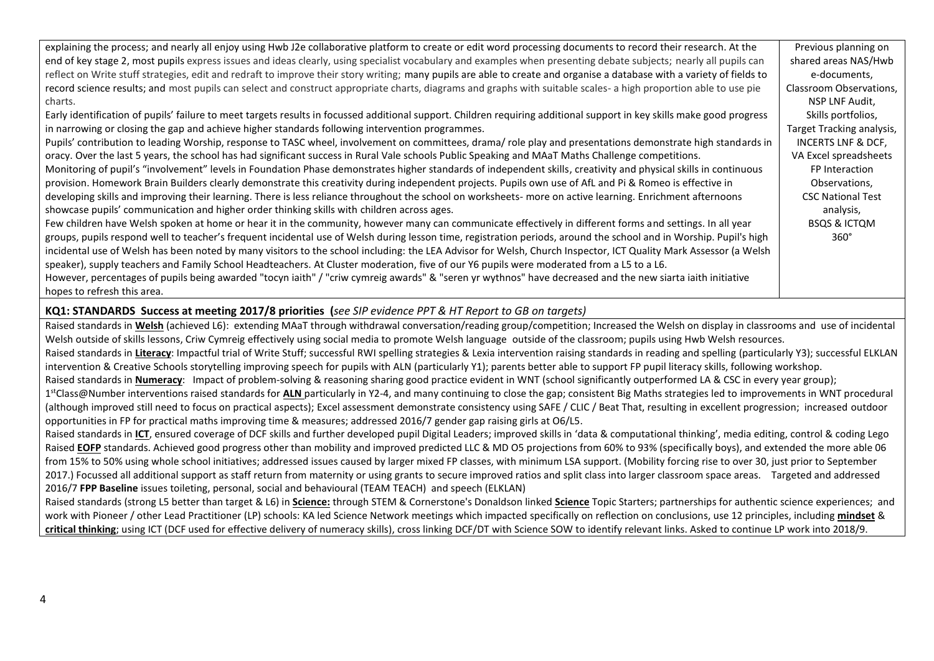| explaining the process; and nearly all enjoy using Hwb J2e collaborative platform to create or edit word processing documents to record their research. At the         | Previous planning on      |
|------------------------------------------------------------------------------------------------------------------------------------------------------------------------|---------------------------|
| end of key stage 2, most pupils express issues and ideas clearly, using specialist vocabulary and examples when presenting debate subjects; nearly all pupils can      | shared areas NAS/Hwb      |
| reflect on Write stuff strategies, edit and redraft to improve their story writing; many pupils are able to create and organise a database with a variety of fields to | e-documents,              |
| record science results; and most pupils can select and construct appropriate charts, diagrams and graphs with suitable scales- a high proportion able to use pie       | Classroom Observations,   |
| charts.                                                                                                                                                                | NSP LNF Audit,            |
| Early identification of pupils' failure to meet targets results in focussed additional support. Children requiring additional support in key skills make good progress | Skills portfolios,        |
| in narrowing or closing the gap and achieve higher standards following intervention programmes.                                                                        | Target Tracking analysis, |
| Pupils' contribution to leading Worship, response to TASC wheel, involvement on committees, drama/ role play and presentations demonstrate high standards in           | INCERTS LNF & DCF,        |
| oracy. Over the last 5 years, the school has had significant success in Rural Vale schools Public Speaking and MAaT Maths Challenge competitions.                      | VA Excel spreadsheets     |
| Monitoring of pupil's "involvement" levels in Foundation Phase demonstrates higher standards of independent skills, creativity and physical skills in continuous       | FP Interaction            |
| provision. Homework Brain Builders clearly demonstrate this creativity during independent projects. Pupils own use of AfL and Pi & Romeo is effective in               | Observations,             |
| developing skills and improving their learning. There is less reliance throughout the school on worksheets- more on active learning. Enrichment afternoons             | <b>CSC National Test</b>  |
| showcase pupils' communication and higher order thinking skills with children across ages.                                                                             | analysis,                 |
| Few children have Welsh spoken at home or hear it in the community, however many can communicate effectively in different forms and settings. In all year              | <b>BSQS &amp; ICTQM</b>   |
| groups, pupils respond well to teacher's frequent incidental use of Welsh during lesson time, registration periods, around the school and in Worship. Pupil's high     | $360^\circ$               |
| incidental use of Welsh has been noted by many visitors to the school including: the LEA Advisor for Welsh, Church Inspector, ICT Quality Mark Assessor (a Welsh       |                           |
| speaker), supply teachers and Family School Headteachers. At Cluster moderation, five of our Y6 pupils were moderated from a L5 to a L6.                               |                           |
| However, percentages of pupils being awarded "tocyn iaith" / "criw cymreig awards" & "seren yr wythnos" have decreased and the new siarta iaith initiative             |                           |
| hopes to refresh this area.                                                                                                                                            |                           |

#### **KQ1: STANDARDS Success at meeting 2017/8 priorities (***see SIP evidence PPT & HT Report to GB on targets)*

Raised standards in Welsh (achieved L6): extending MAaT through withdrawal conversation/reading group/competition; Increased the Welsh on display in classrooms and use of incidental Welsh outside of skills lessons, Criw Cymreig effectively using social media to promote Welsh language outside of the classroom; pupils using Hwb Welsh resources. Raised standards in Literacy: Impactful trial of Write Stuff; successful RWI spelling strategies & Lexia intervention raising standards in reading and spelling (particularly Y3); successful ELKLAN intervention & Creative Schools storytelling improving speech for pupils with ALN (particularly Y1); parents better able to support FP pupil literacy skills, following workshop. Raised standards in **Numeracy**: Impact of problem-solving & reasoning sharing good practice evident in WNT (school significantly outperformed LA & CSC in every year group); 1<sup>st</sup>Class@Number interventions raised standards for ALN particularly in Y2-4, and many continuing to close the gap; consistent Big Maths strategies led to improvements in WNT procedural (although improved still need to focus on practical aspects); Excel assessment demonstrate consistency using SAFE / CLIC / Beat That, resulting in excellent progression; increased outdoor opportunities in FP for practical maths improving time & measures; addressed 2016/7 gender gap raising girls at O6/L5. Raised standards in ICT, ensured coverage of DCF skills and further developed pupil Digital Leaders; improved skills in 'data & computational thinking', media editing, control & coding Lego Raised **EOFP** standards. Achieved good progress other than mobility and improved predicted LLC & MD O5 projections from 60% to 93% (specifically boys), and extended the more able 06 from 15% to 50% using whole school initiatives; addressed issues caused by larger mixed FP classes, with minimum LSA support. (Mobility forcing rise to over 30, just prior to September 2017.) Focussed all additional support as staff return from maternity or using grants to secure improved ratios and split class into larger classroom space areas. Targeted and addressed 2016/7 **FPP Baseline** issues toileting, personal, social and behavioural (TEAM TEACH) and speech (ELKLAN) Raised standards (strong L5 better than target & L6) in **Science:** through STEM & Cornerstone's Donaldson linked **Science** Topic Starters; partnerships for authentic science experiences; and

work with Pioneer / other Lead Practitioner (LP) schools: KA led Science Network meetings which impacted specifically on reflection on conclusions, use 12 principles, including **mindset** & **critical thinking**; using ICT (DCF used for effective delivery of numeracy skills), cross linking DCF/DT with Science SOW to identify relevant links. Asked to continue LP work into 2018/9.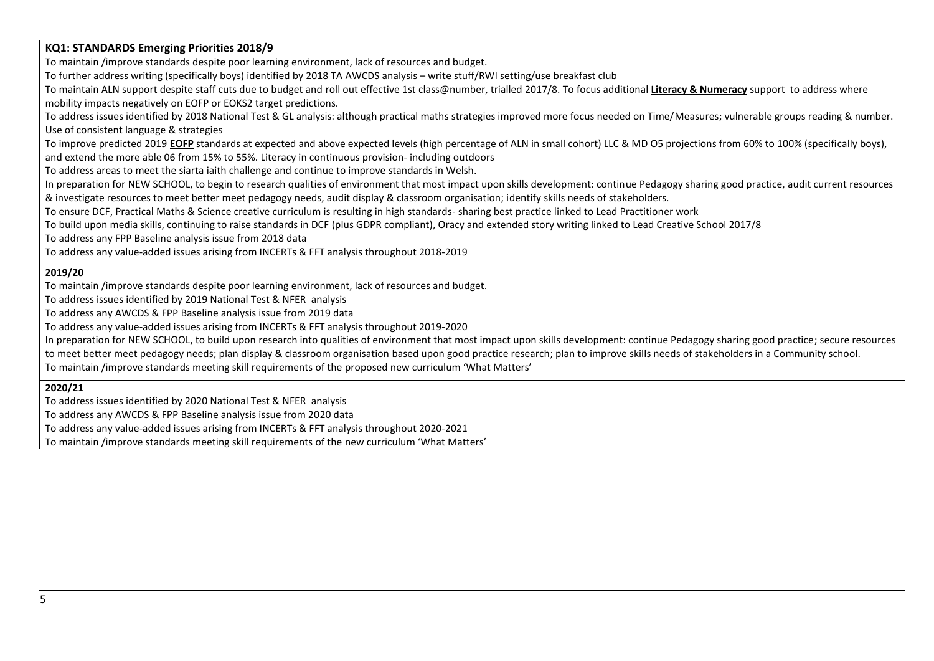#### **KQ1: STANDARDS Emerging Priorities 2018/9**

To maintain /improve standards despite poor learning environment, lack of resources and budget.

To further address writing (specifically boys) identified by 2018 TA AWCDS analysis – write stuff/RWI setting/use breakfast club

To maintain ALN support despite staff cuts due to budget and roll out effective 1st class@number, trialled 2017/8. To focus additional **Literacy & Numeracy** support to address where mobility impacts negatively on EOFP or EOKS2 target predictions.

To address issues identified by 2018 National Test & GL analysis: although practical maths strategies improved more focus needed on Time/Measures; vulnerable groups reading & number. Use of consistent language & strategies

To improve predicted 2019 **EOFP** standards at expected and above expected levels (high percentage of ALN in small cohort) LLC & MD O5 projections from 60% to 100% (specifically boys), and extend the more able 06 from 15% to 55%. Literacy in continuous provision- including outdoors

To address areas to meet the siarta iaith challenge and continue to improve standards in Welsh.

In preparation for NEW SCHOOL, to begin to research qualities of environment that most impact upon skills development: continue Pedagogy sharing good practice, audit current resources & investigate resources to meet better meet pedagogy needs, audit display & classroom organisation; identify skills needs of stakeholders.

To ensure DCF, Practical Maths & Science creative curriculum is resulting in high standards- sharing best practice linked to Lead Practitioner work

To build upon media skills, continuing to raise standards in DCF (plus GDPR compliant), Oracy and extended story writing linked to Lead Creative School 2017/8

To address any FPP Baseline analysis issue from 2018 data

To address any value-added issues arising from INCERTs & FFT analysis throughout 2018-2019

### **2019/20**

To maintain /improve standards despite poor learning environment, lack of resources and budget.

To address issues identified by 2019 National Test & NFER analysis

To address any AWCDS & FPP Baseline analysis issue from 2019 data

To address any value-added issues arising from INCERTs & FFT analysis throughout 2019-2020

In preparation for NEW SCHOOL, to build upon research into qualities of environment that most impact upon skills development: continue Pedagogy sharing good practice; secure resources

to meet better meet pedagogy needs; plan display & classroom organisation based upon good practice research; plan to improve skills needs of stakeholders in a Community school.

To maintain /improve standards meeting skill requirements of the proposed new curriculum 'What Matters'

**2020/21**

To address issues identified by 2020 National Test & NFER analysis

To address any AWCDS & FPP Baseline analysis issue from 2020 data

To address any value-added issues arising from INCERTs & FFT analysis throughout 2020-2021

To maintain /improve standards meeting skill requirements of the new curriculum 'What Matters'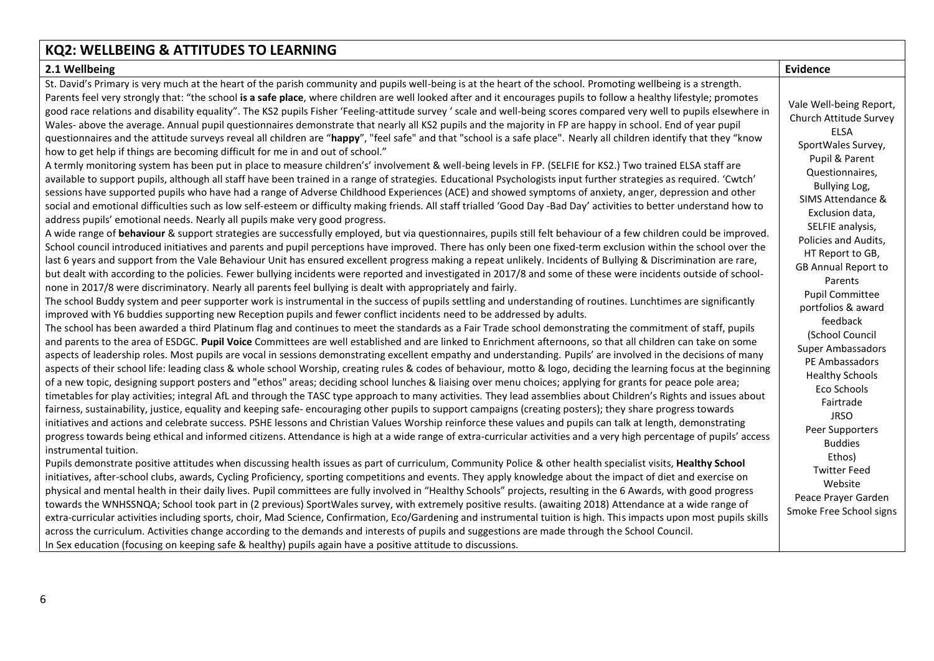#### **KQ2: WELLBEING & ATTITUDES TO LEARNING 2.1 Wellbeing Evidence** St. David's Primary is very much at the heart of the parish community and pupils well-being is at the heart of the school. Promoting wellbeing is a strength. Parents feel very strongly that: "the school **is a safe place**, where children are well looked after and it encourages pupils to follow a healthy lifestyle; promotes good race relations and disability equality". The KS2 pupils Fisher 'Feeling-attitude survey ' scale and well-being scores compared very well to pupils elsewhere in Wales- above the average. Annual pupil questionnaires demonstrate that nearly all KS2 pupils and the majority in FP are happy in school. End of year pupil questionnaires and the attitude surveys reveal all children are "**happy**", "feel safe" and that "school is a safe place". Nearly all children identify that they "know how to get help if things are becoming difficult for me in and out of school." A termly monitoring system has been put in place to measure children's' involvement & well-being levels in FP. (SELFIE for KS2.) Two trained ELSA staff are available to support pupils, although all staff have been trained in a range of strategies. Educational Psychologists input further strategies as required. 'Cwtch' sessions have supported pupils who have had a range of Adverse Childhood Experiences (ACE) and showed symptoms of anxiety, anger, depression and other social and emotional difficulties such as low self-esteem or difficulty making friends. All staff trialled 'Good Day -Bad Day' activities to better understand how to address pupils' emotional needs. Nearly all pupils make very good progress. A wide range of **behaviour** & support strategies are successfully employed, but via questionnaires, pupils still felt behaviour of a few children could be improved. School council introduced initiatives and parents and pupil perceptions have improved. There has only been one fixed-term exclusion within the school over the last 6 years and support from the Vale Behaviour Unit has ensured excellent progress making a repeat unlikely. Incidents of Bullying & Discrimination are rare, but dealt with according to the policies. Fewer bullying incidents were reported and investigated in 2017/8 and some of these were incidents outside of schoolnone in 2017/8 were discriminatory. Nearly all parents feel bullying is dealt with appropriately and fairly. The school Buddy system and peer supporter work is instrumental in the success of pupils settling and understanding of routines. Lunchtimes are significantly improved with Y6 buddies supporting new Reception pupils and fewer conflict incidents need to be addressed by adults. The school has been awarded a third Platinum flag and continues to meet the standards as a Fair Trade school demonstrating the commitment of staff, pupils and parents to the area of ESDGC. **Pupil Voice** Committees are well established and are linked to Enrichment afternoons, so that all children can take on some aspects of leadership roles. Most pupils are vocal in sessions demonstrating excellent empathy and understanding. Pupils' are involved in the decisions of many aspects of their school life: leading class & whole school Worship, creating rules & codes of behaviour, motto & logo, deciding the learning focus at the beginning of a new topic, designing support posters and "ethos" areas; deciding school lunches & liaising over menu choices; applying for grants for peace pole area; timetables for play activities; integral AfL and through the TASC type approach to many activities. They lead assemblies about Children's Rights and issues about fairness, sustainability, justice, equality and keeping safe- encouraging other pupils to support campaigns (creating posters); they share progress towards initiatives and actions and celebrate success. PSHE lessons and Christian Values Worship reinforce these values and pupils can talk at length, demonstrating Vale Well-being Report, Church Attitude Survey ELSA SportWales Survey, Pupil & Parent Questionnaires, Bullying Log, SIMS Attendance & Exclusion data, SELFIE analysis, Policies and Audits, HT Report to GB, GB Annual Report to Parents Pupil Committee portfolios & award feedback (School Council Super Ambassadors PE Ambassadors Healthy Schools Eco Schools Fairtrade JRSO

instrumental tuition. Pupils demonstrate positive attitudes when discussing health issues as part of curriculum, Community Police & other health specialist visits, **Healthy School** initiatives, after-school clubs, awards, Cycling Proficiency, sporting competitions and events. They apply knowledge about the impact of diet and exercise on physical and mental health in their daily lives. Pupil committees are fully involved in "Healthy Schools" projects, resulting in the 6 Awards, with good progress towards the WNHSSNQA; School took part in (2 previous) SportWales survey, with extremely positive results. (awaiting 2018) Attendance at a wide range of extra-curricular activities including sports, choir, Mad Science, Confirmation, Eco/Gardening and instrumental tuition is high. This impacts upon most pupils skills across the curriculum. Activities change according to the demands and interests of pupils and suggestions are made through the School Council. In Sex education (focusing on keeping safe & healthy) pupils again have a positive attitude to discussions.

progress towards being ethical and informed citizens. Attendance is high at a wide range of extra-curricular activities and a very high percentage of pupils' access

Peer Supporters Buddies Ethos) Twitter Feed Website Peace Prayer Garden Smoke Free School signs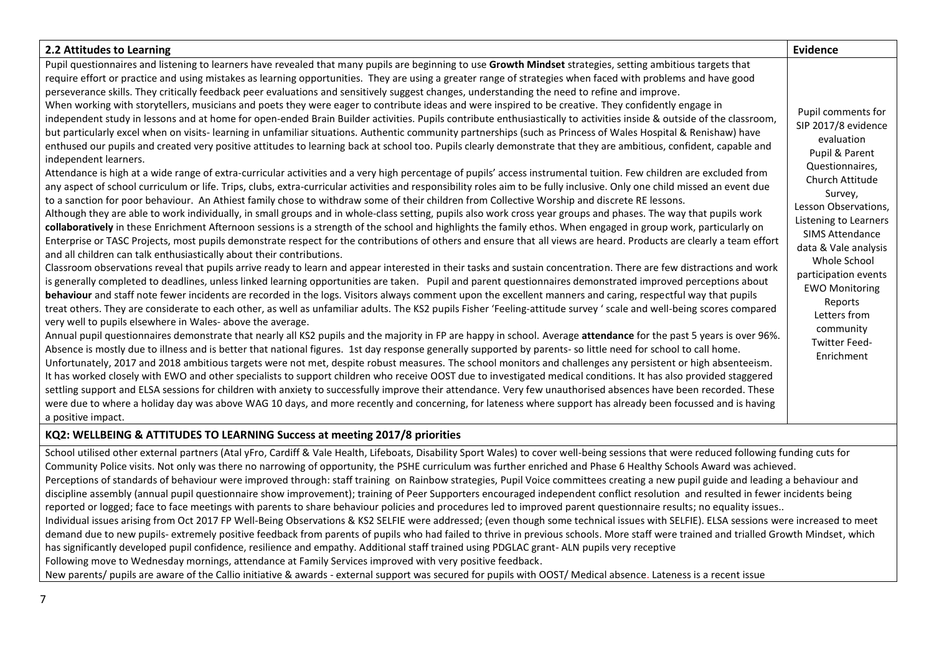| 2.2 Attitudes to Learning                                                                                                                                                                                                                                                                                                                                                                                                                                                                                                                                                                                                                                                                                                                                                                                                                                                                                                                                                                                                                                                                                                                                                                                                                                                                                                                                                                                                                                                                                                                                                                                                                                                                                                                                                                                                                                                                                                                                                                                                                                                                                                                                                                                                                                                                                                                                                                                                                                                                                                                                                                                                                                                                                                                                                                                                                                                                                                                                                                                                                                                                                                                                                                                                                                                                                                                                                                                                                                                                                                                                                                                                                                                                                                                                                                                                                                                                                                                                                                                                                                       | Evidence                                                                                                                                                                                                                                                                                                                                                                     |
|-----------------------------------------------------------------------------------------------------------------------------------------------------------------------------------------------------------------------------------------------------------------------------------------------------------------------------------------------------------------------------------------------------------------------------------------------------------------------------------------------------------------------------------------------------------------------------------------------------------------------------------------------------------------------------------------------------------------------------------------------------------------------------------------------------------------------------------------------------------------------------------------------------------------------------------------------------------------------------------------------------------------------------------------------------------------------------------------------------------------------------------------------------------------------------------------------------------------------------------------------------------------------------------------------------------------------------------------------------------------------------------------------------------------------------------------------------------------------------------------------------------------------------------------------------------------------------------------------------------------------------------------------------------------------------------------------------------------------------------------------------------------------------------------------------------------------------------------------------------------------------------------------------------------------------------------------------------------------------------------------------------------------------------------------------------------------------------------------------------------------------------------------------------------------------------------------------------------------------------------------------------------------------------------------------------------------------------------------------------------------------------------------------------------------------------------------------------------------------------------------------------------------------------------------------------------------------------------------------------------------------------------------------------------------------------------------------------------------------------------------------------------------------------------------------------------------------------------------------------------------------------------------------------------------------------------------------------------------------------------------------------------------------------------------------------------------------------------------------------------------------------------------------------------------------------------------------------------------------------------------------------------------------------------------------------------------------------------------------------------------------------------------------------------------------------------------------------------------------------------------------------------------------------------------------------------------------------------------------------------------------------------------------------------------------------------------------------------------------------------------------------------------------------------------------------------------------------------------------------------------------------------------------------------------------------------------------------------------------------------------------------------------------------------------------------------|------------------------------------------------------------------------------------------------------------------------------------------------------------------------------------------------------------------------------------------------------------------------------------------------------------------------------------------------------------------------------|
| Pupil questionnaires and listening to learners have revealed that many pupils are beginning to use Growth Mindset strategies, setting ambitious targets that<br>require effort or practice and using mistakes as learning opportunities. They are using a greater range of strategies when faced with problems and have good<br>perseverance skills. They critically feedback peer evaluations and sensitively suggest changes, understanding the need to refine and improve.<br>When working with storytellers, musicians and poets they were eager to contribute ideas and were inspired to be creative. They confidently engage in<br>independent study in lessons and at home for open-ended Brain Builder activities. Pupils contribute enthusiastically to activities inside & outside of the classroom,<br>but particularly excel when on visits- learning in unfamiliar situations. Authentic community partnerships (such as Princess of Wales Hospital & Renishaw) have<br>enthused our pupils and created very positive attitudes to learning back at school too. Pupils clearly demonstrate that they are ambitious, confident, capable and<br>independent learners.<br>Attendance is high at a wide range of extra-curricular activities and a very high percentage of pupils' access instrumental tuition. Few children are excluded from<br>any aspect of school curriculum or life. Trips, clubs, extra-curricular activities and responsibility roles aim to be fully inclusive. Only one child missed an event due<br>to a sanction for poor behaviour. An Athiest family chose to withdraw some of their children from Collective Worship and discrete RE lessons.<br>Although they are able to work individually, in small groups and in whole-class setting, pupils also work cross year groups and phases. The way that pupils work<br>collaboratively in these Enrichment Afternoon sessions is a strength of the school and highlights the family ethos. When engaged in group work, particularly on<br>Enterprise or TASC Projects, most pupils demonstrate respect for the contributions of others and ensure that all views are heard. Products are clearly a team effort<br>and all children can talk enthusiastically about their contributions.<br>Classroom observations reveal that pupils arrive ready to learn and appear interested in their tasks and sustain concentration. There are few distractions and work<br>is generally completed to deadlines, unless linked learning opportunities are taken. Pupil and parent questionnaires demonstrated improved perceptions about<br>behaviour and staff note fewer incidents are recorded in the logs. Visitors always comment upon the excellent manners and caring, respectful way that pupils<br>treat others. They are considerate to each other, as well as unfamiliar adults. The KS2 pupils Fisher 'Feeling-attitude survey ' scale and well-being scores compared<br>very well to pupils elsewhere in Wales-above the average.<br>Annual pupil questionnaires demonstrate that nearly all KS2 pupils and the majority in FP are happy in school. Average attendance for the past 5 years is over 96%.<br>Absence is mostly due to illness and is better that national figures. 1st day response generally supported by parents- so little need for school to call home.<br>Unfortunately, 2017 and 2018 ambitious targets were not met, despite robust measures. The school monitors and challenges any persistent or high absenteeism.<br>It has worked closely with EWO and other specialists to support children who receive OOST due to investigated medical conditions. It has also provided staggered<br>settling support and ELSA sessions for children with anxiety to successfully improve their attendance. Very few unauthorised absences have been recorded. These<br>were due to where a holiday day was above WAG 10 days, and more recently and concerning, for lateness where support has already been focussed and is having<br>a positive impact. | Pupil comments for<br>SIP 2017/8 evidence<br>evaluation<br>Pupil & Parent<br>Questionnaires,<br>Church Attitude<br>Survey,<br>Lesson Observations,<br>Listening to Learners<br><b>SIMS Attendance</b><br>data & Vale analysis<br>Whole School<br>participation events<br><b>EWO Monitoring</b><br>Reports<br>Letters from<br>community<br><b>Twitter Feed-</b><br>Enrichment |
| KQ2: WELLBEING & ATTITUDES TO LEARNING Success at meeting 2017/8 priorities                                                                                                                                                                                                                                                                                                                                                                                                                                                                                                                                                                                                                                                                                                                                                                                                                                                                                                                                                                                                                                                                                                                                                                                                                                                                                                                                                                                                                                                                                                                                                                                                                                                                                                                                                                                                                                                                                                                                                                                                                                                                                                                                                                                                                                                                                                                                                                                                                                                                                                                                                                                                                                                                                                                                                                                                                                                                                                                                                                                                                                                                                                                                                                                                                                                                                                                                                                                                                                                                                                                                                                                                                                                                                                                                                                                                                                                                                                                                                                                     |                                                                                                                                                                                                                                                                                                                                                                              |

School utilised other external partners (Atal yFro, Cardiff & Vale Health, Lifeboats, Disability Sport Wales) to cover well-being sessions that were reduced following funding cuts for Community Police visits. Not only was there no narrowing of opportunity, the PSHE curriculum was further enriched and Phase 6 Healthy Schools Award was achieved. Perceptions of standards of behaviour were improved through: staff training on Rainbow strategies, Pupil Voice committees creating a new pupil guide and leading a behaviour and discipline assembly (annual pupil questionnaire show improvement); training of Peer Supporters encouraged independent conflict resolution and resulted in fewer incidents being reported or logged; face to face meetings with parents to share behaviour policies and procedures led to improved parent questionnaire results; no equality issues.. Individual issues arising from Oct 2017 FP Well-Being Observations & KS2 SELFIE were addressed; (even though some technical issues with SELFIE). ELSA sessions were increased to meet demand due to new pupils- extremely positive feedback from parents of pupils who had failed to thrive in previous schools. More staff were trained and trialled Growth Mindset, which has significantly developed pupil confidence, resilience and empathy. Additional staff trained using PDGLAC grant- ALN pupils very receptive Following move to Wednesday mornings, attendance at Family Services improved with very positive feedback. New parents/ pupils are aware of the Callio initiative & awards - external support was secured for pupils with OOST/ Medical absence. Lateness is a recent issue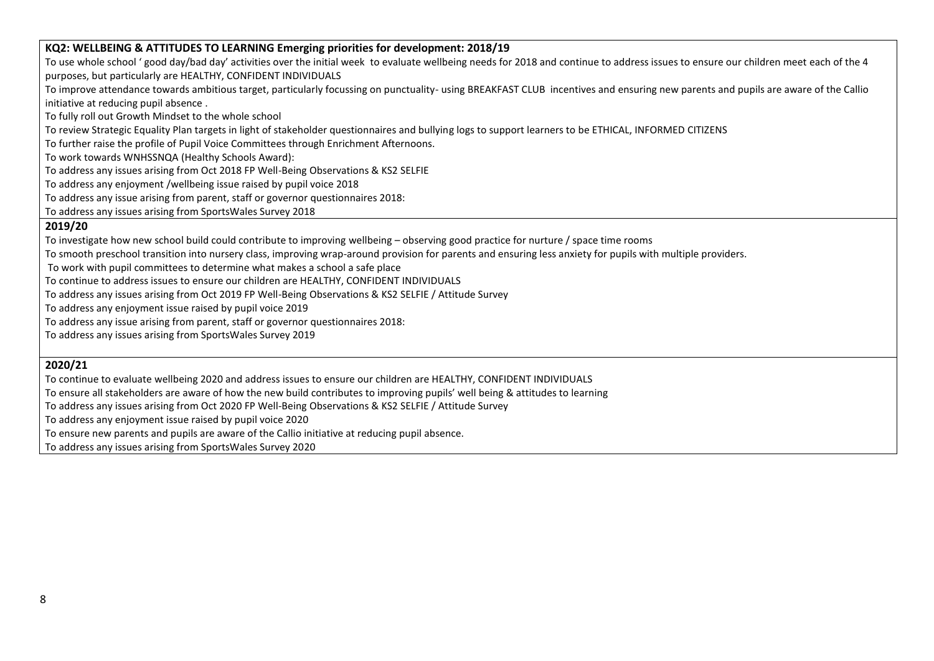#### **KQ2: WELLBEING & ATTITUDES TO LEARNING Emerging priorities for development: 2018/19**

To use whole school ' good day/bad day' activities over the initial week to evaluate wellbeing needs for 2018 and continue to address issues to ensure our children meet each of the 4 purposes, but particularly are HEALTHY, CONFIDENT INDIVIDUALS

To improve attendance towards ambitious target, particularly focussing on punctuality- using BREAKFAST CLUB incentives and ensuring new parents and pupils are aware of the Callio initiative at reducing pupil absence .

To fully roll out Growth Mindset to the whole school

To review Strategic Equality Plan targets in light of stakeholder questionnaires and bullying logs to support learners to be ETHICAL, INFORMED CITIZENS

To further raise the profile of Pupil Voice Committees through Enrichment Afternoons.

To work towards WNHSSNQA (Healthy Schools Award):

To address any issues arising from Oct 2018 FP Well-Being Observations & KS2 SELFIE

To address any enjoyment /wellbeing issue raised by pupil voice 2018

To address any issue arising from parent, staff or governor questionnaires 2018:

To address any issues arising from SportsWales Survey 2018

#### **2019/20**

To investigate how new school build could contribute to improving wellbeing – observing good practice for nurture / space time rooms

To smooth preschool transition into nursery class, improving wrap-around provision for parents and ensuring less anxiety for pupils with multiple providers.

To work with pupil committees to determine what makes a school a safe place

To continue to address issues to ensure our children are HEALTHY, CONFIDENT INDIVIDUALS

To address any issues arising from Oct 2019 FP Well-Being Observations & KS2 SELFIE / Attitude Survey

To address any enjoyment issue raised by pupil voice 2019

To address any issue arising from parent, staff or governor questionnaires 2018:

To address any issues arising from SportsWales Survey 2019

### **2020/21**

To continue to evaluate wellbeing 2020 and address issues to ensure our children are HEALTHY, CONFIDENT INDIVIDUALS

To ensure all stakeholders are aware of how the new build contributes to improving pupils' well being & attitudes to learning

To address any issues arising from Oct 2020 FP Well-Being Observations & KS2 SELFIE / Attitude Survey

To address any enjoyment issue raised by pupil voice 2020

To ensure new parents and pupils are aware of the Callio initiative at reducing pupil absence.

To address any issues arising from SportsWales Survey 2020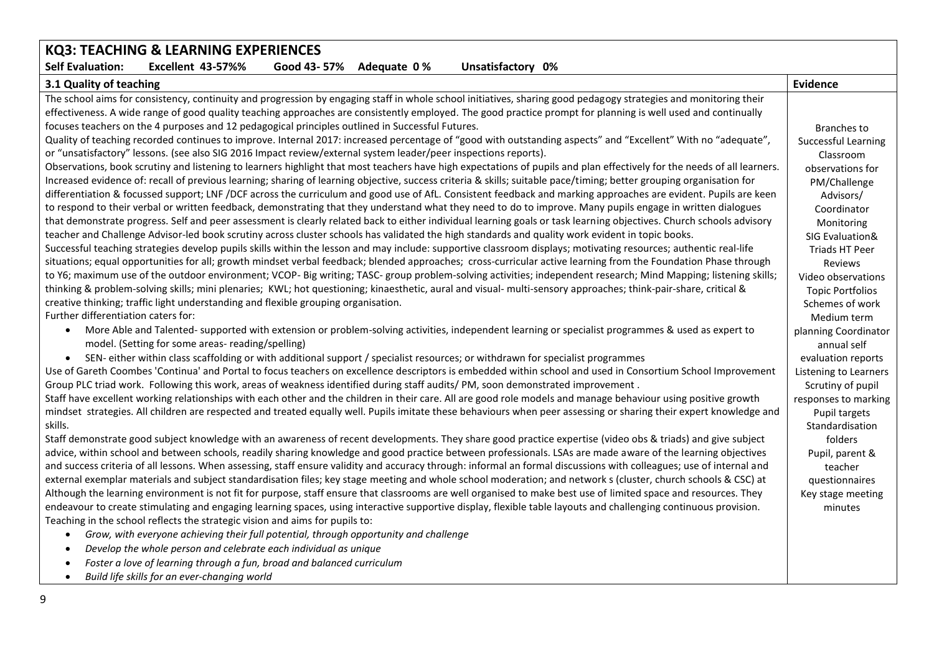| KQ3: TEACHING & LEARNING EXPERIENCES                                                                                                                                    |                         |
|-------------------------------------------------------------------------------------------------------------------------------------------------------------------------|-------------------------|
| <b>Self Evaluation:</b><br>Excellent 43-57%%<br>Good 43-57%<br>Adequate 0%<br>Unsatisfactory 0%                                                                         |                         |
| 3.1 Quality of teaching                                                                                                                                                 | Evidence                |
| The school aims for consistency, continuity and progression by engaging staff in whole school initiatives, sharing good pedagogy strategies and monitoring their        |                         |
| effectiveness. A wide range of good quality teaching approaches are consistently employed. The good practice prompt for planning is well used and continually           |                         |
| focuses teachers on the 4 purposes and 12 pedagogical principles outlined in Successful Futures.                                                                        | <b>Branches to</b>      |
| Quality of teaching recorded continues to improve. Internal 2017: increased percentage of "good with outstanding aspects" and "Excellent" With no "adequate",           | Successful Learning     |
| or "unsatisfactory" lessons. (see also SIG 2016 Impact review/external system leader/peer inspections reports).                                                         | Classroom               |
| Observations, book scrutiny and listening to learners highlight that most teachers have high expectations of pupils and plan effectively for the needs of all learners. | observations for        |
| Increased evidence of: recall of previous learning; sharing of learning objective, success criteria & skills; suitable pace/timing; better grouping organisation for    | PM/Challenge            |
| differentiation & focussed support; LNF /DCF across the curriculum and good use of AfL. Consistent feedback and marking approaches are evident. Pupils are keen         | Advisors/               |
| to respond to their verbal or written feedback, demonstrating that they understand what they need to do to improve. Many pupils engage in written dialogues             | Coordinator             |
| that demonstrate progress. Self and peer assessment is clearly related back to either individual learning goals or task learning objectives. Church schools advisory    | Monitoring              |
| teacher and Challenge Advisor-led book scrutiny across cluster schools has validated the high standards and quality work evident in topic books.                        | SIG Evaluation&         |
| Successful teaching strategies develop pupils skills within the lesson and may include: supportive classroom displays; motivating resources; authentic real-life        | Triads HT Peer          |
| situations; equal opportunities for all; growth mindset verbal feedback; blended approaches; cross-curricular active learning from the Foundation Phase through         | Reviews                 |
| to Y6; maximum use of the outdoor environment; VCOP- Big writing; TASC- group problem-solving activities; independent research; Mind Mapping; listening skills;         | Video observations      |
| thinking & problem-solving skills; mini plenaries; KWL; hot questioning; kinaesthetic, aural and visual- multi-sensory approaches; think-pair-share, critical &         | <b>Topic Portfolios</b> |
| creative thinking; traffic light understanding and flexible grouping organisation.                                                                                      | Schemes of work         |
| Further differentiation caters for:                                                                                                                                     | Medium term             |
| More Able and Talented- supported with extension or problem-solving activities, independent learning or specialist programmes & used as expert to<br>$\bullet$          | planning Coordinator    |
| model. (Setting for some areas- reading/spelling)                                                                                                                       | annual self             |
| SEN-either within class scaffolding or with additional support / specialist resources; or withdrawn for specialist programmes<br>$\bullet$                              | evaluation reports      |
| Use of Gareth Coombes 'Continua' and Portal to focus teachers on excellence descriptors is embedded within school and used in Consortium School Improvement             | Listening to Learners   |
| Group PLC triad work. Following this work, areas of weakness identified during staff audits/PM, soon demonstrated improvement.                                          | Scrutiny of pupil       |
| Staff have excellent working relationships with each other and the children in their care. All are good role models and manage behaviour using positive growth          | responses to marking    |
| mindset strategies. All children are respected and treated equally well. Pupils imitate these behaviours when peer assessing or sharing their expert knowledge and      | Pupil targets           |
| skills.                                                                                                                                                                 | Standardisation         |
| Staff demonstrate good subject knowledge with an awareness of recent developments. They share good practice expertise (video obs & triads) and give subject             | folders                 |
| advice, within school and between schools, readily sharing knowledge and good practice between professionals. LSAs are made aware of the learning objectives            | Pupil, parent &         |
| and success criteria of all lessons. When assessing, staff ensure validity and accuracy through: informal an formal discussions with colleagues; use of internal and    | teacher                 |
| external exemplar materials and subject standardisation files; key stage meeting and whole school moderation; and network s (cluster, church schools & CSC) at          | questionnaires          |
| Although the learning environment is not fit for purpose, staff ensure that classrooms are well organised to make best use of limited space and resources. They         | Key stage meeting       |
| endeavour to create stimulating and engaging learning spaces, using interactive supportive display, flexible table layouts and challenging continuous provision.        | minutes                 |
| Teaching in the school reflects the strategic vision and aims for pupils to:                                                                                            |                         |
| Grow, with everyone achieving their full potential, through opportunity and challenge<br>$\bullet$                                                                      |                         |
| Develop the whole person and celebrate each individual as unique<br>$\bullet$                                                                                           |                         |
| Foster a love of learning through a fun, broad and balanced curriculum<br>$\bullet$                                                                                     |                         |
| Build life skills for an ever-changing world<br>$\bullet$                                                                                                               |                         |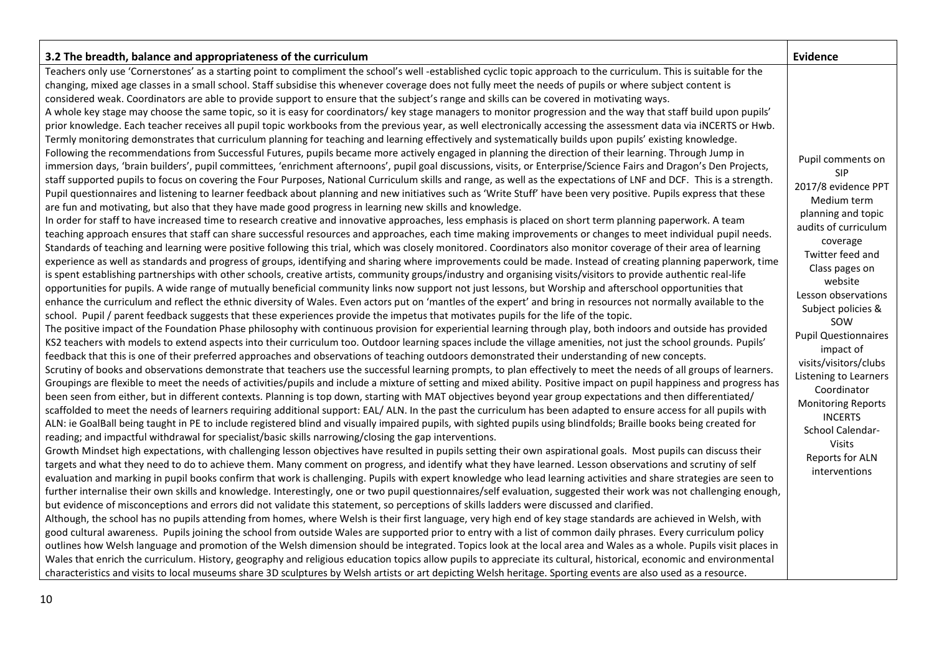| 3.2 The breadth, balance and appropriateness of the curriculum                                                                                                                                                                                                                                                                                                                                                                                                                                                                                                                                                                                                                                                                                                                                                                                                                                                                                                                                                                                                                                                                                                                                                                                                                                                                                                                                                                                                                                                                                                                                                                                                                                                                                                                                                                                                                                                                                                                                                                                                                                                                                                                                                                                                                                                                                                                                                                                                                                                                                                                                                                                                                                                                                                                                                                                                                                                                                                                                                                                                                                                                                                                                                                                                                                                                                                                                                                                                                                                                                                                                                                                                                                                                                                                                                                                                                                                                                                                                                                                                                                                                                                                                                                                                                                                                                                                                                                                                                                                                                                                                                                                                                                                                                                                                                                                                                                                                                                                                                                                                                                                                                                                                                                                                                                                                                                                                                                                                                                                                                                                                                                                                                                                                                                                                                                                                                                                                                                                                                                                                                                                                                                                                                                                  | Evidence                                                                                                                                                                                                                                                                                                                                                                                                                                                                  |
|-------------------------------------------------------------------------------------------------------------------------------------------------------------------------------------------------------------------------------------------------------------------------------------------------------------------------------------------------------------------------------------------------------------------------------------------------------------------------------------------------------------------------------------------------------------------------------------------------------------------------------------------------------------------------------------------------------------------------------------------------------------------------------------------------------------------------------------------------------------------------------------------------------------------------------------------------------------------------------------------------------------------------------------------------------------------------------------------------------------------------------------------------------------------------------------------------------------------------------------------------------------------------------------------------------------------------------------------------------------------------------------------------------------------------------------------------------------------------------------------------------------------------------------------------------------------------------------------------------------------------------------------------------------------------------------------------------------------------------------------------------------------------------------------------------------------------------------------------------------------------------------------------------------------------------------------------------------------------------------------------------------------------------------------------------------------------------------------------------------------------------------------------------------------------------------------------------------------------------------------------------------------------------------------------------------------------------------------------------------------------------------------------------------------------------------------------------------------------------------------------------------------------------------------------------------------------------------------------------------------------------------------------------------------------------------------------------------------------------------------------------------------------------------------------------------------------------------------------------------------------------------------------------------------------------------------------------------------------------------------------------------------------------------------------------------------------------------------------------------------------------------------------------------------------------------------------------------------------------------------------------------------------------------------------------------------------------------------------------------------------------------------------------------------------------------------------------------------------------------------------------------------------------------------------------------------------------------------------------------------------------------------------------------------------------------------------------------------------------------------------------------------------------------------------------------------------------------------------------------------------------------------------------------------------------------------------------------------------------------------------------------------------------------------------------------------------------------------------------------------------------------------------------------------------------------------------------------------------------------------------------------------------------------------------------------------------------------------------------------------------------------------------------------------------------------------------------------------------------------------------------------------------------------------------------------------------------------------------------------------------------------------------------------------------------------------------------------------------------------------------------------------------------------------------------------------------------------------------------------------------------------------------------------------------------------------------------------------------------------------------------------------------------------------------------------------------------------------------------------------------------------------------------------------------------------------------------------------------------------------------------------------------------------------------------------------------------------------------------------------------------------------------------------------------------------------------------------------------------------------------------------------------------------------------------------------------------------------------------------------------------------------------------------------------------------------------------------------------------------------------------------------------------------------------------------------------------------------------------------------------------------------------------------------------------------------------------------------------------------------------------------------------------------------------------------------------------------------------------------------------------------------------------------------------------------------------------------------------------------------------|---------------------------------------------------------------------------------------------------------------------------------------------------------------------------------------------------------------------------------------------------------------------------------------------------------------------------------------------------------------------------------------------------------------------------------------------------------------------------|
| Teachers only use 'Cornerstones' as a starting point to compliment the school's well -established cyclic topic approach to the curriculum. This is suitable for the<br>changing, mixed age classes in a small school. Staff subsidise this whenever coverage does not fully meet the needs of pupils or where subject content is<br>considered weak. Coordinators are able to provide support to ensure that the subject's range and skills can be covered in motivating ways.<br>A whole key stage may choose the same topic, so it is easy for coordinators/ key stage managers to monitor progression and the way that staff build upon pupils'<br>prior knowledge. Each teacher receives all pupil topic workbooks from the previous year, as well electronically accessing the assessment data via iNCERTS or Hwb.<br>Termly monitoring demonstrates that curriculum planning for teaching and learning effectively and systematically builds upon pupils' existing knowledge.<br>Following the recommendations from Successful Futures, pupils became more actively engaged in planning the direction of their learning. Through Jump in<br>immersion days, 'brain builders', pupil committees, 'enrichment afternoons', pupil goal discussions, visits, or Enterprise/Science Fairs and Dragon's Den Projects,<br>staff supported pupils to focus on covering the Four Purposes, National Curriculum skills and range, as well as the expectations of LNF and DCF. This is a strength.<br>Pupil questionnaires and listening to learner feedback about planning and new initiatives such as 'Write Stuff' have been very positive. Pupils express that these<br>are fun and motivating, but also that they have made good progress in learning new skills and knowledge.<br>In order for staff to have increased time to research creative and innovative approaches, less emphasis is placed on short term planning paperwork. A team<br>teaching approach ensures that staff can share successful resources and approaches, each time making improvements or changes to meet individual pupil needs.<br>Standards of teaching and learning were positive following this trial, which was closely monitored. Coordinators also monitor coverage of their area of learning<br>experience as well as standards and progress of groups, identifying and sharing where improvements could be made. Instead of creating planning paperwork, time<br>is spent establishing partnerships with other schools, creative artists, community groups/industry and organising visits/visitors to provide authentic real-life<br>opportunities for pupils. A wide range of mutually beneficial community links now support not just lessons, but Worship and afterschool opportunities that<br>enhance the curriculum and reflect the ethnic diversity of Wales. Even actors put on 'mantles of the expert' and bring in resources not normally available to the<br>school. Pupil / parent feedback suggests that these experiences provide the impetus that motivates pupils for the life of the topic.<br>The positive impact of the Foundation Phase philosophy with continuous provision for experiential learning through play, both indoors and outside has provided<br>KS2 teachers with models to extend aspects into their curriculum too. Outdoor learning spaces include the village amenities, not just the school grounds. Pupils'<br>feedback that this is one of their preferred approaches and observations of teaching outdoors demonstrated their understanding of new concepts.<br>Scrutiny of books and observations demonstrate that teachers use the successful learning prompts, to plan effectively to meet the needs of all groups of learners.<br>Groupings are flexible to meet the needs of activities/pupils and include a mixture of setting and mixed ability. Positive impact on pupil happiness and progress has<br>been seen from either, but in different contexts. Planning is top down, starting with MAT objectives beyond year group expectations and then differentiated/<br>scaffolded to meet the needs of learners requiring additional support: EAL/ALN. In the past the curriculum has been adapted to ensure access for all pupils with<br>ALN: ie GoalBall being taught in PE to include registered blind and visually impaired pupils, with sighted pupils using blindfolds; Braille books being created for<br>reading; and impactful withdrawal for specialist/basic skills narrowing/closing the gap interventions.<br>Growth Mindset high expectations, with challenging lesson objectives have resulted in pupils setting their own aspirational goals. Most pupils can discuss their<br>targets and what they need to do to achieve them. Many comment on progress, and identify what they have learned. Lesson observations and scrutiny of self<br>evaluation and marking in pupil books confirm that work is challenging. Pupils with expert knowledge who lead learning activities and share strategies are seen to<br>further internalise their own skills and knowledge. Interestingly, one or two pupil questionnaires/self evaluation, suggested their work was not challenging enough,<br>but evidence of misconceptions and errors did not validate this statement, so perceptions of skills ladders were discussed and clarified.<br>Although, the school has no pupils attending from homes, where Welsh is their first language, very high end of key stage standards are achieved in Welsh, with<br>good cultural awareness. Pupils joining the school from outside Wales are supported prior to entry with a list of common daily phrases. Every curriculum policy<br>outlines how Welsh language and promotion of the Welsh dimension should be integrated. Topics look at the local area and Wales as a whole. Pupils visit places in<br>Wales that enrich the curriculum. History, geography and religious education topics allow pupils to appreciate its cultural, historical, economic and environmental<br>characteristics and visits to local museums share 3D sculptures by Welsh artists or art depicting Welsh heritage. Sporting events are also used as a resource. | Pupil comments on<br><b>SIP</b><br>2017/8 evidence PPT<br>Medium term<br>planning and topic<br>audits of curriculum<br>coverage<br>Twitter feed and<br>Class pages on<br>website<br>Lesson observations<br>Subject policies &<br>SOW<br><b>Pupil Questionnaires</b><br>impact of<br>visits/visitors/clubs<br>Listening to Learners<br>Coordinator<br><b>Monitoring Reports</b><br><b>INCERTS</b><br>School Calendar-<br><b>Visits</b><br>Reports for ALN<br>interventions |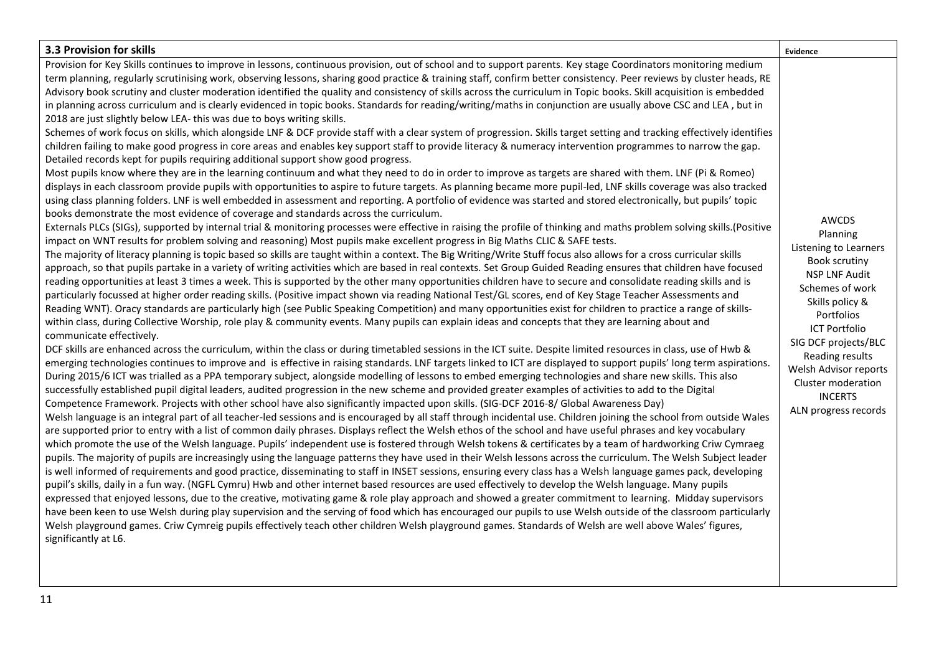| 3.3 Provision for skills                                                                                                                                                                                                                                                                                                                                                                                                                                                                                                                                                                                                                                                                                                                                                                                                                                                                                                                                                                                                                                                                                                                                                                                                                                                                                                                                                                                                                                                                                                                                                                                                                                                                                                                                                                                                                                                                                                                                                                                                                                                                                                                                                                                                                                                                                                                                                                                                                                                                                                                                                                                                                                                                                                                                                                                                                                                                                                                                                                                                                                                                                                                                                                                                                                                                                                                                                                                                                                                                                                                                                                                                                                                                                                                                                                                                                                                                                                                                                                                                                                                                                                                                                                                                                                                                                                                                                                                                                                                                                                                                                                                                                                                                                                                                                                                                                                                                                                                                                                                                                                                                                                                                                                                                                                                                                                                                                                                                                                            | Evidence                                                                                                                                                                                                                                                                                                   |
|---------------------------------------------------------------------------------------------------------------------------------------------------------------------------------------------------------------------------------------------------------------------------------------------------------------------------------------------------------------------------------------------------------------------------------------------------------------------------------------------------------------------------------------------------------------------------------------------------------------------------------------------------------------------------------------------------------------------------------------------------------------------------------------------------------------------------------------------------------------------------------------------------------------------------------------------------------------------------------------------------------------------------------------------------------------------------------------------------------------------------------------------------------------------------------------------------------------------------------------------------------------------------------------------------------------------------------------------------------------------------------------------------------------------------------------------------------------------------------------------------------------------------------------------------------------------------------------------------------------------------------------------------------------------------------------------------------------------------------------------------------------------------------------------------------------------------------------------------------------------------------------------------------------------------------------------------------------------------------------------------------------------------------------------------------------------------------------------------------------------------------------------------------------------------------------------------------------------------------------------------------------------------------------------------------------------------------------------------------------------------------------------------------------------------------------------------------------------------------------------------------------------------------------------------------------------------------------------------------------------------------------------------------------------------------------------------------------------------------------------------------------------------------------------------------------------------------------------------------------------------------------------------------------------------------------------------------------------------------------------------------------------------------------------------------------------------------------------------------------------------------------------------------------------------------------------------------------------------------------------------------------------------------------------------------------------------------------------------------------------------------------------------------------------------------------------------------------------------------------------------------------------------------------------------------------------------------------------------------------------------------------------------------------------------------------------------------------------------------------------------------------------------------------------------------------------------------------------------------------------------------------------------------------------------------------------------------------------------------------------------------------------------------------------------------------------------------------------------------------------------------------------------------------------------------------------------------------------------------------------------------------------------------------------------------------------------------------------------------------------------------------------------------------------------------------------------------------------------------------------------------------------------------------------------------------------------------------------------------------------------------------------------------------------------------------------------------------------------------------------------------------------------------------------------------------------------------------------------------------------------------------------------------------------------------------------------------------------------------------------------------------------------------------------------------------------------------------------------------------------------------------------------------------------------------------------------------------------------------------------------------------------------------------------------------------------------------------------------------------------------------------------------------------------------------------------------------------------|------------------------------------------------------------------------------------------------------------------------------------------------------------------------------------------------------------------------------------------------------------------------------------------------------------|
| Provision for Key Skills continues to improve in lessons, continuous provision, out of school and to support parents. Key stage Coordinators monitoring medium<br>term planning, regularly scrutinising work, observing lessons, sharing good practice & training staff, confirm better consistency. Peer reviews by cluster heads, RE<br>Advisory book scrutiny and cluster moderation identified the quality and consistency of skills across the curriculum in Topic books. Skill acquisition is embedded<br>in planning across curriculum and is clearly evidenced in topic books. Standards for reading/writing/maths in conjunction are usually above CSC and LEA, but in<br>2018 are just slightly below LEA- this was due to boys writing skills.<br>Schemes of work focus on skills, which alongside LNF & DCF provide staff with a clear system of progression. Skills target setting and tracking effectively identifies<br>children failing to make good progress in core areas and enables key support staff to provide literacy & numeracy intervention programmes to narrow the gap.<br>Detailed records kept for pupils requiring additional support show good progress.<br>Most pupils know where they are in the learning continuum and what they need to do in order to improve as targets are shared with them. LNF (Pi & Romeo)<br>displays in each classroom provide pupils with opportunities to aspire to future targets. As planning became more pupil-led, LNF skills coverage was also tracked<br>using class planning folders. LNF is well embedded in assessment and reporting. A portfolio of evidence was started and stored electronically, but pupils' topic<br>books demonstrate the most evidence of coverage and standards across the curriculum.<br>Externals PLCs (SIGs), supported by internal trial & monitoring processes were effective in raising the profile of thinking and maths problem solving skills. (Positive<br>impact on WNT results for problem solving and reasoning) Most pupils make excellent progress in Big Maths CLIC & SAFE tests.<br>The majority of literacy planning is topic based so skills are taught within a context. The Big Writing/Write Stuff focus also allows for a cross curricular skills<br>approach, so that pupils partake in a variety of writing activities which are based in real contexts. Set Group Guided Reading ensures that children have focused<br>reading opportunities at least 3 times a week. This is supported by the other many opportunities children have to secure and consolidate reading skills and is<br>particularly focussed at higher order reading skills. (Positive impact shown via reading National Test/GL scores, end of Key Stage Teacher Assessments and<br>Reading WNT). Oracy standards are particularly high (see Public Speaking Competition) and many opportunities exist for children to practice a range of skills-<br>within class, during Collective Worship, role play & community events. Many pupils can explain ideas and concepts that they are learning about and<br>communicate effectively.<br>DCF skills are enhanced across the curriculum, within the class or during timetabled sessions in the ICT suite. Despite limited resources in class, use of Hwb &<br>emerging technologies continues to improve and is effective in raising standards. LNF targets linked to ICT are displayed to support pupils' long term aspirations.<br>During 2015/6 ICT was trialled as a PPA temporary subject, alongside modelling of lessons to embed emerging technologies and share new skills. This also<br>successfully established pupil digital leaders, audited progression in the new scheme and provided greater examples of activities to add to the Digital<br>Competence Framework. Projects with other school have also significantly impacted upon skills. (SIG-DCF 2016-8/ Global Awareness Day)<br>Welsh language is an integral part of all teacher-led sessions and is encouraged by all staff through incidental use. Children joining the school from outside Wales<br>are supported prior to entry with a list of common daily phrases. Displays reflect the Welsh ethos of the school and have useful phrases and key vocabulary<br>which promote the use of the Welsh language. Pupils' independent use is fostered through Welsh tokens & certificates by a team of hardworking Criw Cymraeg<br>pupils. The majority of pupils are increasingly using the language patterns they have used in their Welsh lessons across the curriculum. The Welsh Subject leader<br>is well informed of requirements and good practice, disseminating to staff in INSET sessions, ensuring every class has a Welsh language games pack, developing<br>pupil's skills, daily in a fun way. (NGFL Cymru) Hwb and other internet based resources are used effectively to develop the Welsh language. Many pupils<br>expressed that enjoyed lessons, due to the creative, motivating game & role play approach and showed a greater commitment to learning. Midday supervisors<br>have been keen to use Welsh during play supervision and the serving of food which has encouraged our pupils to use Welsh outside of the classroom particularly<br>Welsh playground games. Criw Cymreig pupils effectively teach other children Welsh playground games. Standards of Welsh are well above Wales' figures,<br>significantly at L6. | <b>AWCDS</b><br>Planning<br>Listening to Learners<br>Book scrutiny<br><b>NSP LNF Audit</b><br>Schemes of work<br>Skills policy &<br>Portfolios<br><b>ICT Portfolio</b><br>SIG DCF projects/BLC<br>Reading results<br>Welsh Advisor reports<br>Cluster moderation<br><b>INCERTS</b><br>ALN progress records |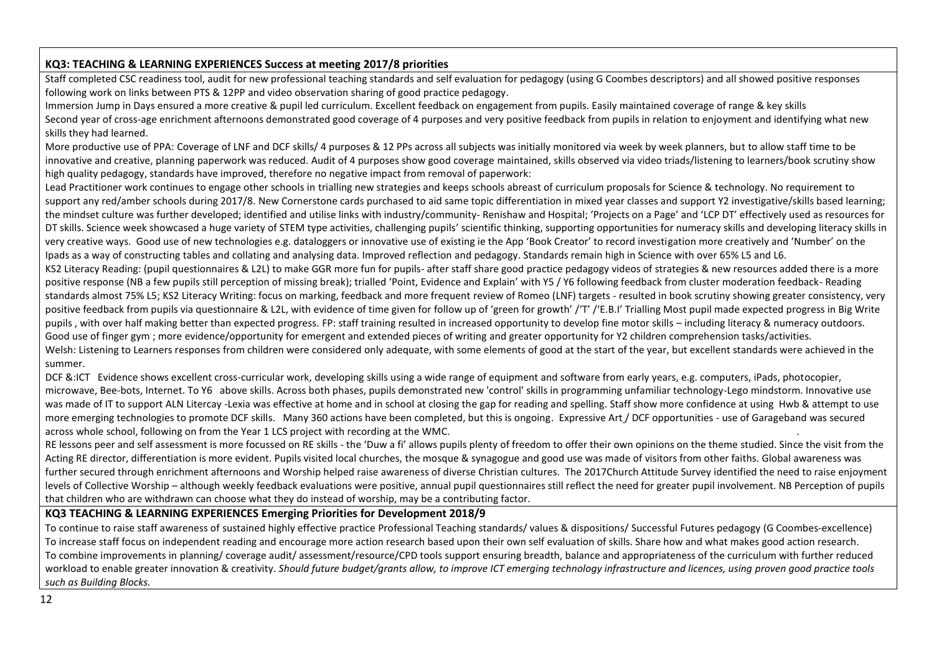### **KQ3: TEACHING & LEARNING EXPERIENCES Success at meeting 2017/8 priorities**

Staff completed CSC readiness tool, audit for new professional teaching standards and self evaluation for pedagogy (using G Coombes descriptors) and all showed positive responses following work on links between PTS & 12PP and video observation sharing of good practice pedagogy.

Immersion Jump in Days ensured a more creative & pupil led curriculum. Excellent feedback on engagement from pupils. Easily maintained coverage of range & key skills Second year of cross-age enrichment afternoons demonstrated good coverage of 4 purposes and very positive feedback from pupils in relation to enjoyment and identifying what new skills they had learned.

More productive use of PPA: Coverage of LNF and DCF skills/ 4 purposes & 12 PPs across all subjects was initially monitored via week by week planners, but to allow staff time to be innovative and creative, planning paperwork was reduced. Audit of 4 purposes show good coverage maintained, skills observed via video triads/listening to learners/book scrutiny show high quality pedagogy, standards have improved, therefore no negative impact from removal of paperwork:

Lead Practitioner work continues to engage other schools in trialling new strategies and keeps schools abreast of curriculum proposals for Science & technology. No requirement to support any red/amber schools during 2017/8. New Cornerstone cards purchased to aid same topic differentiation in mixed year classes and support Y2 investigative/skills based learning; the mindset culture was further developed; identified and utilise links with industry/community- Renishaw and Hospital; 'Projects on a Page' and 'LCP DT' effectively used as resources for DT skills. Science week showcased a huge variety of STEM type activities, challenging pupils' scientific thinking, supporting opportunities for numeracy skills and developing literacy skills in very creative ways. Good use of new technologies e.g. dataloggers or innovative use of existing ie the App 'Book Creator' to record investigation more creatively and 'Number' on the Ipads as a way of constructing tables and collating and analysing data. Improved reflection and pedagogy. Standards remain high in Science with over 65% L5 and L6.

KS2 Literacy Reading: (pupil questionnaires & L2L) to make GGR more fun for pupils- after staff share good practice pedagogy videos of strategies & new resources added there is a more positive response (NB a few pupils still perception of missing break); trialled 'Point, Evidence and Explain' with Y5 / Y6 following feedback from cluster moderation feedback- Reading standards almost 75% L5; KS2 Literacy Writing: focus on marking, feedback and more frequent review of Romeo (LNF) targets - resulted in book scrutiny showing greater consistency, very positive feedback from pupils via questionnaire & L2L, with evidence of time given for follow up of 'green for growth' /'T' /'E.B.I' Trialling Most pupil made expected progress in Big Write pupils , with over half making better than expected progress. FP: staff training resulted in increased opportunity to develop fine motor skills – including literacy & numeracy outdoors. Good use of finger gym ; more evidence/opportunity for emergent and extended pieces of writing and greater opportunity for Y2 children comprehension tasks/activities. Welsh: Listening to Learners responses from children were considered only adequate, with some elements of good at the start of the year, but excellent standards were achieved in the summer.

DCF &:ICT Evidence shows excellent cross-curricular work, developing skills using a wide range of equipment and software from early years, e.g. computers, iPads, photocopier, microwave, Bee-bots, Internet. To Y6 above skills. Across both phases, pupils demonstrated new 'control' skills in programming unfamiliar technology-Lego mindstorm. Innovative use was made of IT to support ALN Litercay -Lexia was effective at home and in school at closing the gap for reading and spelling. Staff show more confidence at using Hwb & attempt to use more emerging technologies to promote DCF skills. Many 360 actions have been completed, but this is ongoing. Expressive Art / DCF opportunities - use of Garageband was secured across whole school, following on from the Year 1 LCS project with recording at the WMC. .

RE lessons peer and self assessment is more focussed on RE skills - the 'Duw a fi' allows pupils plenty of freedom to offer their own opinions on the theme studied. Since the visit from the Acting RE director, differentiation is more evident. Pupils visited local churches, the mosque & synagogue and good use was made of visitors from other faiths. Global awareness was further secured through enrichment afternoons and Worship helped raise awareness of diverse Christian cultures. The 2017Church Attitude Survey identified the need to raise enjoyment levels of Collective Worship – although weekly feedback evaluations were positive, annual pupil questionnaires still reflect the need for greater pupil involvement. NB Perception of pupils that children who are withdrawn can choose what they do instead of worship, may be a contributing factor.

#### **KQ3 TEACHING & LEARNING EXPERIENCES Emerging Priorities for Development 2018/9**

To continue to raise staff awareness of sustained highly effective practice Professional Teaching standards/ values & dispositions/ Successful Futures pedagogy (G Coombes-excellence) To increase staff focus on independent reading and encourage more action research based upon their own self evaluation of skills. Share how and what makes good action research. To combine improvements in planning/ coverage audit/ assessment/resource/CPD tools support ensuring breadth, balance and appropriateness of the curriculum with further reduced workload to enable greater innovation & creativity. *Should future budget/grants allow, to improve ICT emerging technology infrastructure and licences, using proven good practice tools such as Building Blocks.*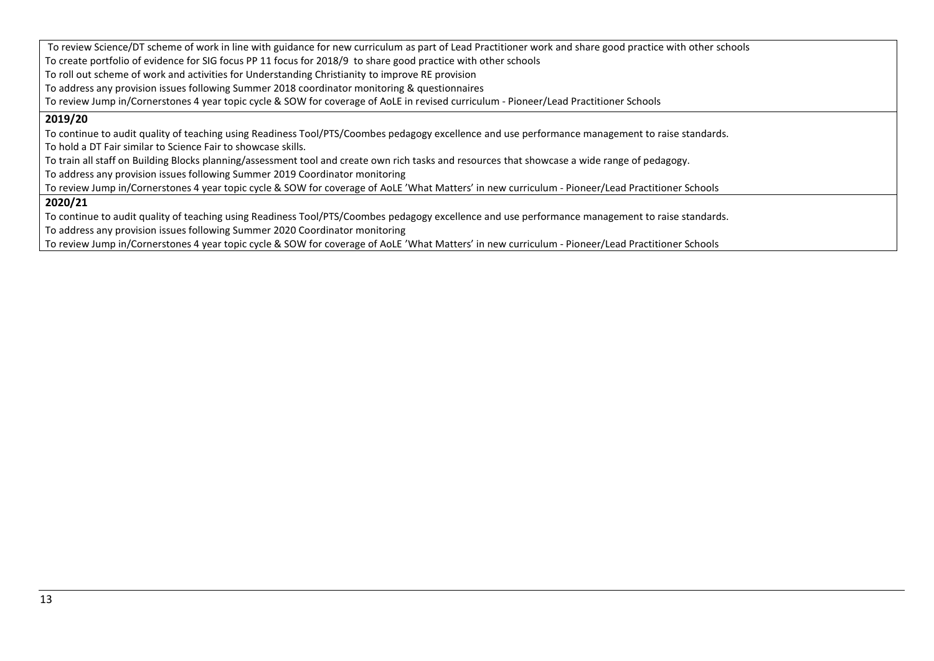To review Science/DT scheme of work in line with guidance for new curriculum as part of Lead Practitioner work and share good practice with other schools To create portfolio of evidence for SIG focus PP 11 focus for 2018/9 to share good practice with other schools To roll out scheme of work and activities for Understanding Christianity to improve RE provision To address any provision issues following Summer 2018 coordinator monitoring & questionnaires To review Jump in/Cornerstones 4 year topic cycle & SOW for coverage of AoLE in revised curriculum - Pioneer/Lead Practitioner Schools **2019/20**  To continue to audit quality of teaching using Readiness Tool/PTS/Coombes pedagogy excellence and use performance management to raise standards. To hold a DT Fair similar to Science Fair to showcase skills. To train all staff on Building Blocks planning/assessment tool and create own rich tasks and resources that showcase a wide range of pedagogy. To address any provision issues following Summer 2019 Coordinator monitoring To review Jump in/Cornerstones 4 year topic cycle & SOW for coverage of AoLE 'What Matters' in new curriculum - Pioneer/Lead Practitioner Schools **2020/21** To continue to audit quality of teaching using Readiness Tool/PTS/Coombes pedagogy excellence and use performance management to raise standards. To address any provision issues following Summer 2020 Coordinator monitoring To review Jump in/Cornerstones 4 year topic cycle & SOW for coverage of AoLE 'What Matters' in new curriculum - Pioneer/Lead Practitioner Schools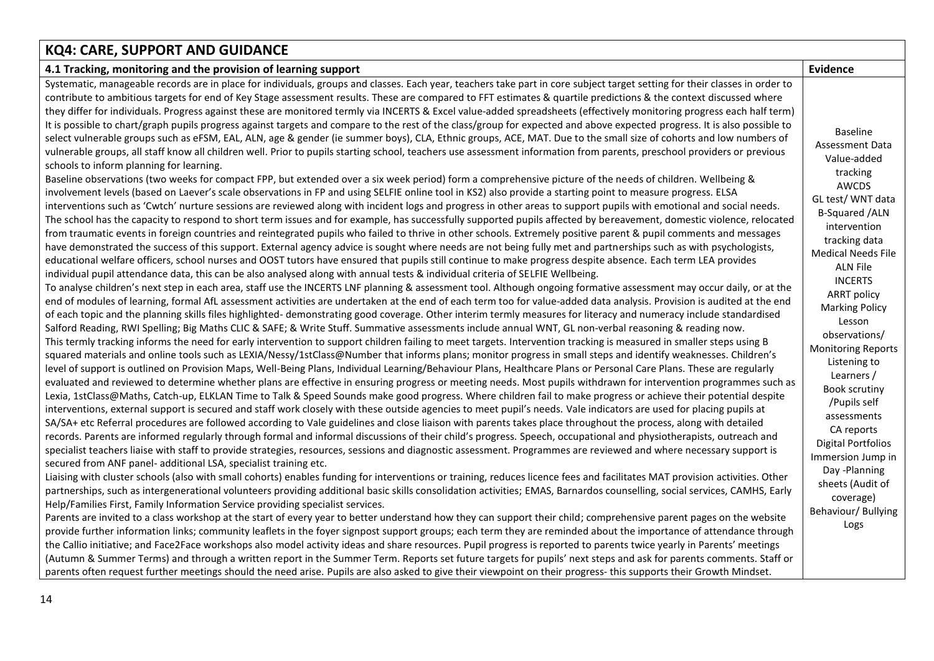# **KQ4: CARE, SUPPORT AND GUIDANCE**

| 4.1 Tracking, monitoring and the provision of learning support                                                                                                                                                                                                                                                                                                                                                                                                                                                                                                                                                                                                                                                                                                                                                                                                                                                                                                                                                                                                                                                                                                                                                                                                                                                                                                                                                                                                                                                                                                                                                                                                                                                                                                                                                                                                                                                                                                                                                                                                                                                                                                                                                                                                                                                                                                                                                                                                                                                                                                                                                                                                                                                                                                                                                                                                                                                                                                                                                                                                                                                                                                                                                                                                                                                                                                                                                                                                                                                                                                                                                                                                                                                                                                                                                                                                                                                                                                                                                                                                                                                                                                                                                                                                                                                                                                                                                                                                                                                                                                                                                                                                                                                                                                                                                                                                                                                                                                                                                                                                                                                                                                                                                                                                                                                                                                                                                                                                                                                                                                                                                                                                                                                                                                                                                                                                                                                                                                                                                                              | <b>Evidence</b>                                                                                                                                                                                                                                                                                                                                                                                                                                                                                                                                                      |
|---------------------------------------------------------------------------------------------------------------------------------------------------------------------------------------------------------------------------------------------------------------------------------------------------------------------------------------------------------------------------------------------------------------------------------------------------------------------------------------------------------------------------------------------------------------------------------------------------------------------------------------------------------------------------------------------------------------------------------------------------------------------------------------------------------------------------------------------------------------------------------------------------------------------------------------------------------------------------------------------------------------------------------------------------------------------------------------------------------------------------------------------------------------------------------------------------------------------------------------------------------------------------------------------------------------------------------------------------------------------------------------------------------------------------------------------------------------------------------------------------------------------------------------------------------------------------------------------------------------------------------------------------------------------------------------------------------------------------------------------------------------------------------------------------------------------------------------------------------------------------------------------------------------------------------------------------------------------------------------------------------------------------------------------------------------------------------------------------------------------------------------------------------------------------------------------------------------------------------------------------------------------------------------------------------------------------------------------------------------------------------------------------------------------------------------------------------------------------------------------------------------------------------------------------------------------------------------------------------------------------------------------------------------------------------------------------------------------------------------------------------------------------------------------------------------------------------------------------------------------------------------------------------------------------------------------------------------------------------------------------------------------------------------------------------------------------------------------------------------------------------------------------------------------------------------------------------------------------------------------------------------------------------------------------------------------------------------------------------------------------------------------------------------------------------------------------------------------------------------------------------------------------------------------------------------------------------------------------------------------------------------------------------------------------------------------------------------------------------------------------------------------------------------------------------------------------------------------------------------------------------------------------------------------------------------------------------------------------------------------------------------------------------------------------------------------------------------------------------------------------------------------------------------------------------------------------------------------------------------------------------------------------------------------------------------------------------------------------------------------------------------------------------------------------------------------------------------------------------------------------------------------------------------------------------------------------------------------------------------------------------------------------------------------------------------------------------------------------------------------------------------------------------------------------------------------------------------------------------------------------------------------------------------------------------------------------------------------------------------------------------------------------------------------------------------------------------------------------------------------------------------------------------------------------------------------------------------------------------------------------------------------------------------------------------------------------------------------------------------------------------------------------------------------------------------------------------------------------------------------------------------------------------------------------------------------------------------------------------------------------------------------------------------------------------------------------------------------------------------------------------------------------------------------------------------------------------------------------------------------------------------------------------------------------------------------------------------------------------------------------------------------------------------------|----------------------------------------------------------------------------------------------------------------------------------------------------------------------------------------------------------------------------------------------------------------------------------------------------------------------------------------------------------------------------------------------------------------------------------------------------------------------------------------------------------------------------------------------------------------------|
| Systematic, manageable records are in place for individuals, groups and classes. Each year, teachers take part in core subject target setting for their classes in order to<br>contribute to ambitious targets for end of Key Stage assessment results. These are compared to FFT estimates & quartile predictions & the context discussed where<br>they differ for individuals. Progress against these are monitored termly via INCERTS & Excel value-added spreadsheets (effectively monitoring progress each half term)<br>It is possible to chart/graph pupils progress against targets and compare to the rest of the class/group for expected and above expected progress. It is also possible to<br>select vulnerable groups such as eFSM, EAL, ALN, age & gender (ie summer boys), CLA, Ethnic groups, ACE, MAT. Due to the small size of cohorts and low numbers of<br>vulnerable groups, all staff know all children well. Prior to pupils starting school, teachers use assessment information from parents, preschool providers or previous<br>schools to inform planning for learning.<br>Baseline observations (two weeks for compact FPP, but extended over a six week period) form a comprehensive picture of the needs of children. Wellbeing &<br>involvement levels (based on Laever's scale observations in FP and using SELFIE online tool in KS2) also provide a starting point to measure progress. ELSA<br>interventions such as 'Cwtch' nurture sessions are reviewed along with incident logs and progress in other areas to support pupils with emotional and social needs.<br>The school has the capacity to respond to short term issues and for example, has successfully supported pupils affected by bereavement, domestic violence, relocated<br>from traumatic events in foreign countries and reintegrated pupils who failed to thrive in other schools. Extremely positive parent & pupil comments and messages<br>have demonstrated the success of this support. External agency advice is sought where needs are not being fully met and partnerships such as with psychologists,<br>educational welfare officers, school nurses and OOST tutors have ensured that pupils still continue to make progress despite absence. Each term LEA provides<br>individual pupil attendance data, this can be also analysed along with annual tests & individual criteria of SELFIE Wellbeing.<br>To analyse children's next step in each area, staff use the INCERTS LNF planning & assessment tool. Although ongoing formative assessment may occur daily, or at the<br>end of modules of learning, formal AfL assessment activities are undertaken at the end of each term too for value-added data analysis. Provision is audited at the end<br>of each topic and the planning skills files highlighted- demonstrating good coverage. Other interim termly measures for literacy and numeracy include standardised<br>Salford Reading, RWI Spelling; Big Maths CLIC & SAFE; & Write Stuff. Summative assessments include annual WNT, GL non-verbal reasoning & reading now.<br>This termly tracking informs the need for early intervention to support children failing to meet targets. Intervention tracking is measured in smaller steps using B<br>squared materials and online tools such as LEXIA/Nessy/1stClass@Number that informs plans; monitor progress in small steps and identify weaknesses. Children's<br>level of support is outlined on Provision Maps, Well-Being Plans, Individual Learning/Behaviour Plans, Healthcare Plans or Personal Care Plans. These are regularly<br>evaluated and reviewed to determine whether plans are effective in ensuring progress or meeting needs. Most pupils withdrawn for intervention programmes such as<br>Lexia, 1stClass@Maths, Catch-up, ELKLAN Time to Talk & Speed Sounds make good progress. Where children fail to make progress or achieve their potential despite<br>interventions, external support is secured and staff work closely with these outside agencies to meet pupil's needs. Vale indicators are used for placing pupils at<br>SA/SA+ etc Referral procedures are followed according to Vale guidelines and close liaison with parents takes place throughout the process, along with detailed<br>records. Parents are informed regularly through formal and informal discussions of their child's progress. Speech, occupational and physiotherapists, outreach and<br>specialist teachers liaise with staff to provide strategies, resources, sessions and diagnostic assessment. Programmes are reviewed and where necessary support is<br>secured from ANF panel- additional LSA, specialist training etc.<br>Liaising with cluster schools (also with small cohorts) enables funding for interventions or training, reduces licence fees and facilitates MAT provision activities. Other<br>partnerships, such as intergenerational volunteers providing additional basic skills consolidation activities; EMAS, Barnardos counselling, social services, CAMHS, Early<br>Help/Families First, Family Information Service providing specialist services.<br>Parents are invited to a class workshop at the start of every year to better understand how they can support their child; comprehensive parent pages on the website<br>provide further information links; community leaflets in the foyer signpost support groups; each term they are reminded about the importance of attendance through<br>the Callio initiative; and Face2Face workshops also model activity ideas and share resources. Pupil progress is reported to parents twice yearly in Parents' meetings<br>(Autumn & Summer Terms) and through a written report in the Summer Term. Reports set future targets for pupils' next steps and ask for parents comments. Staff or<br>parents often request further meetings should the need arise. Pupils are also asked to give their viewpoint on their progress- this supports their Growth Mindset. | <b>Baseline</b><br>Assessment Data<br>Value-added<br>tracking<br>AWCDS<br>GL test/ WNT data<br><b>B-Squared /ALN</b><br>intervention<br>tracking data<br><b>Medical Needs File</b><br><b>ALN File</b><br><b>INCERTS</b><br><b>ARRT policy</b><br><b>Marking Policy</b><br>Lesson<br>observations/<br><b>Monitoring Reports</b><br>Listening to<br>Learners /<br><b>Book scrutiny</b><br>/Pupils self<br>assessments<br>CA reports<br><b>Digital Portfolios</b><br>Immersion Jump in<br>Day -Planning<br>sheets (Audit of<br>coverage)<br>Behaviour/ Bullying<br>Logs |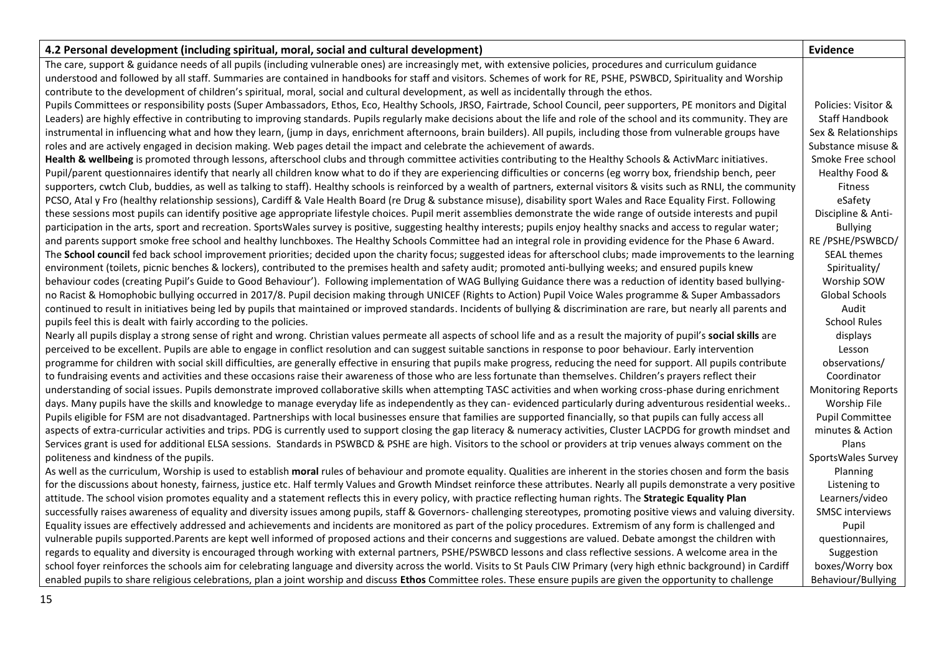| 4.2 Personal development (including spiritual, moral, social and cultural development)                                                                                       | <b>Evidence</b>           |
|------------------------------------------------------------------------------------------------------------------------------------------------------------------------------|---------------------------|
| The care, support & guidance needs of all pupils (including vulnerable ones) are increasingly met, with extensive policies, procedures and curriculum guidance               |                           |
| understood and followed by all staff. Summaries are contained in handbooks for staff and visitors. Schemes of work for RE, PSHE, PSWBCD, Spirituality and Worship            |                           |
| contribute to the development of children's spiritual, moral, social and cultural development, as well as incidentally through the ethos.                                    |                           |
| Pupils Committees or responsibility posts (Super Ambassadors, Ethos, Eco, Healthy Schools, JRSO, Fairtrade, School Council, peer supporters, PE monitors and Digital         | Policies: Visitor &       |
| Leaders) are highly effective in contributing to improving standards. Pupils regularly make decisions about the life and role of the school and its community. They are      | Staff Handbook            |
| instrumental in influencing what and how they learn, (jump in days, enrichment afternoons, brain builders). All pupils, including those from vulnerable groups have          | Sex & Relationships       |
| roles and are actively engaged in decision making. Web pages detail the impact and celebrate the achievement of awards.                                                      | Substance misuse &        |
| Health & wellbeing is promoted through lessons, afterschool clubs and through committee activities contributing to the Healthy Schools & ActivMarc initiatives.              | Smoke Free school         |
| Pupil/parent questionnaires identify that nearly all children know what to do if they are experiencing difficulties or concerns (eg worry box, friendship bench, peer        | Healthy Food &            |
| supporters, cwtch Club, buddies, as well as talking to staff). Healthy schools is reinforced by a wealth of partners, external visitors & visits such as RNLI, the community | <b>Fitness</b>            |
| PCSO, Atal y Fro (healthy relationship sessions), Cardiff & Vale Health Board (re Drug & substance misuse), disability sport Wales and Race Equality First. Following        | eSafety                   |
| these sessions most pupils can identify positive age appropriate lifestyle choices. Pupil merit assemblies demonstrate the wide range of outside interests and pupil         | Discipline & Anti-        |
| participation in the arts, sport and recreation. SportsWales survey is positive, suggesting healthy interests; pupils enjoy healthy snacks and access to regular water;      | <b>Bullying</b>           |
| and parents support smoke free school and healthy lunchboxes. The Healthy Schools Committee had an integral role in providing evidence for the Phase 6 Award.                | RE/PSHE/PSWBCD/           |
| The School council fed back school improvement priorities; decided upon the charity focus; suggested ideas for afterschool clubs; made improvements to the learning          | <b>SEAL themes</b>        |
| environment (toilets, picnic benches & lockers), contributed to the premises health and safety audit; promoted anti-bullying weeks; and ensured pupils knew                  | Spirituality/             |
| behaviour codes (creating Pupil's Guide to Good Behaviour'). Following implementation of WAG Bullying Guidance there was a reduction of identity based bullying-             | Worship SOW               |
| no Racist & Homophobic bullying occurred in 2017/8. Pupil decision making through UNICEF (Rights to Action) Pupil Voice Wales programme & Super Ambassadors                  | Global Schools            |
| continued to result in initiatives being led by pupils that maintained or improved standards. Incidents of bullying & discrimination are rare, but nearly all parents and    | Audit                     |
| pupils feel this is dealt with fairly according to the policies.                                                                                                             | <b>School Rules</b>       |
| Nearly all pupils display a strong sense of right and wrong. Christian values permeate all aspects of school life and as a result the majority of pupil's social skills are  | displays                  |
| perceived to be excellent. Pupils are able to engage in conflict resolution and can suggest suitable sanctions in response to poor behaviour. Early intervention             | Lesson                    |
| programme for children with social skill difficulties, are generally effective in ensuring that pupils make progress, reducing the need for support. All pupils contribute   | observations/             |
| to fundraising events and activities and these occasions raise their awareness of those who are less fortunate than themselves. Children's prayers reflect their             | Coordinator               |
| understanding of social issues. Pupils demonstrate improved collaborative skills when attempting TASC activities and when working cross-phase during enrichment              | <b>Monitoring Reports</b> |
| days. Many pupils have the skills and knowledge to manage everyday life as independently as they can-evidenced particularly during adventurous residential weeks             | Worship File              |
| Pupils eligible for FSM are not disadvantaged. Partnerships with local businesses ensure that families are supported financially, so that pupils can fully access all        | <b>Pupil Committee</b>    |
| aspects of extra-curricular activities and trips. PDG is currently used to support closing the gap literacy & numeracy activities, Cluster LACPDG for growth mindset and     | minutes & Action          |
| Services grant is used for additional ELSA sessions. Standards in PSWBCD & PSHE are high. Visitors to the school or providers at trip venues always comment on the           | Plans                     |
| politeness and kindness of the pupils.                                                                                                                                       | SportsWales Survey        |
| As well as the curriculum, Worship is used to establish moral rules of behaviour and promote equality. Qualities are inherent in the stories chosen and form the basis       | Planning                  |
| for the discussions about honesty, fairness, justice etc. Half termly Values and Growth Mindset reinforce these attributes. Nearly all pupils demonstrate a very positive    | Listening to              |
| attitude. The school vision promotes equality and a statement reflects this in every policy, with practice reflecting human rights. The Strategic Equality Plan              | Learners/video            |
| successfully raises awareness of equality and diversity issues among pupils, staff & Governors- challenging stereotypes, promoting positive views and valuing diversity.     | <b>SMSC</b> interviews    |
| Equality issues are effectively addressed and achievements and incidents are monitored as part of the policy procedures. Extremism of any form is challenged and             | Pupil                     |
| vulnerable pupils supported.Parents are kept well informed of proposed actions and their concerns and suggestions are valued. Debate amongst the children with               | questionnaires,           |
| regards to equality and diversity is encouraged through working with external partners, PSHE/PSWBCD lessons and class reflective sessions. A welcome area in the             | Suggestion                |
| school foyer reinforces the schools aim for celebrating language and diversity across the world. Visits to St Pauls CIW Primary (very high ethnic background) in Cardiff     | boxes/Worry box           |
| enabled pupils to share religious celebrations, plan a joint worship and discuss Ethos Committee roles. These ensure pupils are given the opportunity to challenge           | Behaviour/Bullying        |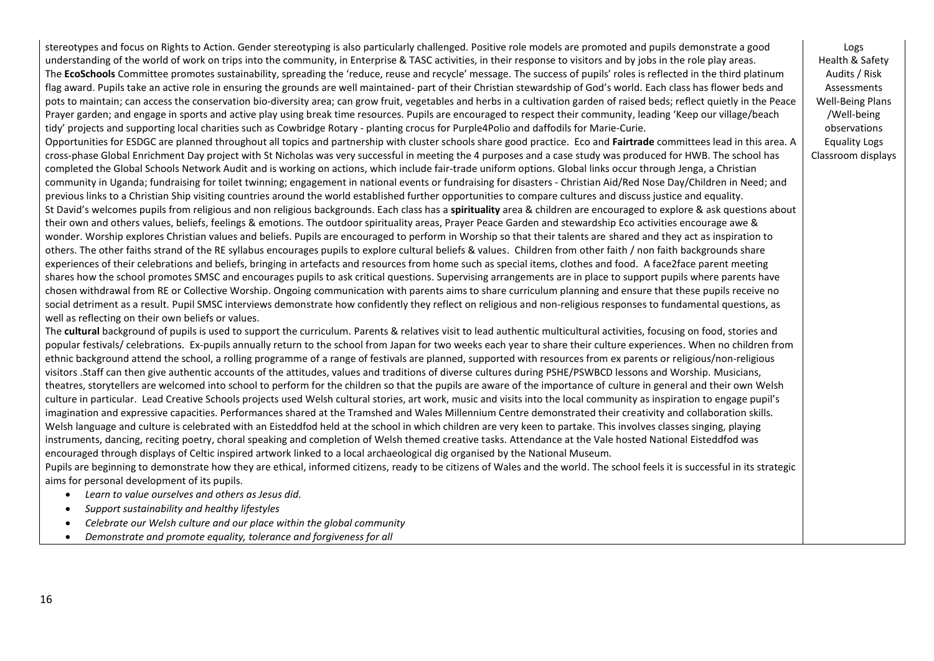stereotypes and focus on Rights to Action. Gender stereotyping is also particularly challenged. Positive role models are promoted and pupils demonstrate a good understanding of the world of work on trips into the community, in Enterprise & TASC activities, in their response to visitors and by jobs in the role play areas. The **EcoSchools** Committee promotes sustainability, spreading the 'reduce, reuse and recycle' message. The success of pupils' roles is reflected in the third platinum flag award. Pupils take an active role in ensuring the grounds are well maintained- part of their Christian stewardship of God's world. Each class has flower beds and pots to maintain; can access the conservation bio-diversity area; can grow fruit, vegetables and herbs in a cultivation garden of raised beds; reflect quietly in the Peace Prayer garden; and engage in sports and active play using break time resources. Pupils are encouraged to respect their community, leading 'Keep our village/beach tidy' projects and supporting local charities such as Cowbridge Rotary - planting crocus for Purple4Polio and daffodils for Marie-Curie.

Opportunities for ESDGC are planned throughout all topics and partnership with cluster schools share good practice. Eco and **Fairtrade** committees lead in this area. A cross-phase Global Enrichment Day project with St Nicholas was very successful in meeting the 4 purposes and a case study was produced for HWB. The school has completed the Global Schools Network Audit and is working on actions, which include fair-trade uniform options. Global links occur through Jenga, a Christian community in Uganda; fundraising for toilet twinning; engagement in national events or fundraising for disasters - Christian Aid/Red Nose Day/Children in Need; and previous links to a Christian Ship visiting countries around the world established further opportunities to compare cultures and discuss justice and equality. St David's welcomes pupils from religious and non religious backgrounds. Each class has a **spirituality** area & children are encouraged to explore & ask questions about their own and others values, beliefs, feelings & emotions. The outdoor spirituality areas, Prayer Peace Garden and stewardship Eco activities encourage awe & wonder. Worship explores Christian values and beliefs. Pupils are encouraged to perform in Worship so that their talents are shared and they act as inspiration to others. The other faiths strand of the RE syllabus encourages pupils to explore cultural beliefs & values. Children from other faith / non faith backgrounds share experiences of their celebrations and beliefs, bringing in artefacts and resources from home such as special items, clothes and food. A face2face parent meeting shares how the school promotes SMSC and encourages pupils to ask critical questions. Supervising arrangements are in place to support pupils where parents have chosen withdrawal from RE or Collective Worship. Ongoing communication with parents aims to share curriculum planning and ensure that these pupils receive no social detriment as a result. Pupil SMSC interviews demonstrate how confidently they reflect on religious and non-religious responses to fundamental questions, as well as reflecting on their own beliefs or values.

The **cultural** background of pupils is used to support the curriculum. Parents & relatives visit to lead authentic multicultural activities, focusing on food, stories and popular festivals/ celebrations. Ex-pupils annually return to the school from Japan for two weeks each year to share their culture experiences. When no children from ethnic background attend the school, a rolling programme of a range of festivals are planned, supported with resources from ex parents or religious/non-religious visitors .Staff can then give authentic accounts of the attitudes, values and traditions of diverse cultures during PSHE/PSWBCD lessons and Worship. Musicians, theatres, storytellers are welcomed into school to perform for the children so that the pupils are aware of the importance of culture in general and their own Welsh culture in particular. Lead Creative Schools projects used Welsh cultural stories, art work, music and visits into the local community as inspiration to engage pupil's imagination and expressive capacities. Performances shared at the Tramshed and Wales Millennium Centre demonstrated their creativity and collaboration skills. Welsh language and culture is celebrated with an Eisteddfod held at the school in which children are very keen to partake. This involves classes singing, playing instruments, dancing, reciting poetry, choral speaking and completion of Welsh themed creative tasks. Attendance at the Vale hosted National Eisteddfod was encouraged through displays of Celtic inspired artwork linked to a local archaeological dig organised by the National Museum.

Pupils are beginning to demonstrate how they are ethical, informed citizens, ready to be citizens of Wales and the world. The school feels it is successful in its strategic aims for personal development of its pupils.

- *Learn to value ourselves and others as Jesus did.*
- *Support sustainability and healthy lifestyles*
- *Celebrate our Welsh culture and our place within the global community*
- *Demonstrate and promote equality, tolerance and forgiveness for all*

Logs Health & Safety Audits / Risk **Assessments** Well-Being Plans /Well-being observations Equality Logs Classroom displays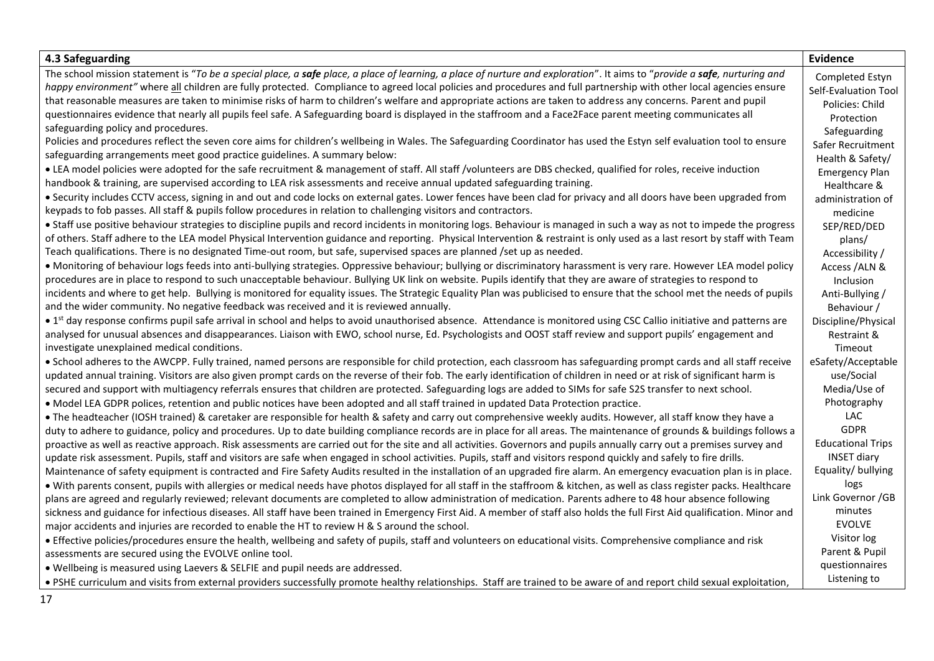| 4.3 Safeguarding                                                                                                                                                                                                                                                                        | <b>Evidence</b>                  |
|-----------------------------------------------------------------------------------------------------------------------------------------------------------------------------------------------------------------------------------------------------------------------------------------|----------------------------------|
| The school mission statement is "To be a special place, a safe place, a place of learning, a place of nurture and exploration". It aims to "provide a safe, nurturing and                                                                                                               | Completed Estyn                  |
| happy environment" where all children are fully protected. Compliance to agreed local policies and procedures and full partnership with other local agencies ensure                                                                                                                     | Self-Evaluation Tool             |
| that reasonable measures are taken to minimise risks of harm to children's welfare and appropriate actions are taken to address any concerns. Parent and pupil                                                                                                                          | Policies: Child                  |
| questionnaires evidence that nearly all pupils feel safe. A Safeguarding board is displayed in the staffroom and a Face2Face parent meeting communicates all                                                                                                                            | Protection                       |
| safeguarding policy and procedures.                                                                                                                                                                                                                                                     | Safeguarding                     |
| Policies and procedures reflect the seven core aims for children's wellbeing in Wales. The Safeguarding Coordinator has used the Estyn self evaluation tool to ensure                                                                                                                   | Safer Recruitment                |
| safeguarding arrangements meet good practice guidelines. A summary below:                                                                                                                                                                                                               | Health & Safety/                 |
| • LEA model policies were adopted for the safe recruitment & management of staff. All staff /volunteers are DBS checked, qualified for roles, receive induction                                                                                                                         | <b>Emergency Plan</b>            |
| handbook & training, are supervised according to LEA risk assessments and receive annual updated safeguarding training.                                                                                                                                                                 | Healthcare &                     |
| • Security includes CCTV access, signing in and out and code locks on external gates. Lower fences have been clad for privacy and all doors have been upgraded from<br>keypads to fob passes. All staff & pupils follow procedures in relation to challenging visitors and contractors. | administration of<br>medicine    |
| • Staff use positive behaviour strategies to discipline pupils and record incidents in monitoring logs. Behaviour is managed in such a way as not to impede the progress                                                                                                                | SEP/RED/DED                      |
| of others. Staff adhere to the LEA model Physical Intervention guidance and reporting. Physical Intervention & restraint is only used as a last resort by staff with Team                                                                                                               | plans/                           |
| Teach qualifications. There is no designated Time-out room, but safe, supervised spaces are planned /set up as needed.                                                                                                                                                                  | Accessibility /                  |
| • Monitoring of behaviour logs feeds into anti-bullying strategies. Oppressive behaviour; bullying or discriminatory harassment is very rare. However LEA model policy                                                                                                                  | Access /ALN &                    |
| procedures are in place to respond to such unacceptable behaviour. Bullying UK link on website. Pupils identify that they are aware of strategies to respond to                                                                                                                         | Inclusion                        |
| incidents and where to get help. Bullying is monitored for equality issues. The Strategic Equality Plan was publicised to ensure that the school met the needs of pupils                                                                                                                | Anti-Bullying /                  |
| and the wider community. No negative feedback was received and it is reviewed annually.                                                                                                                                                                                                 | Behaviour /                      |
| • 1st day response confirms pupil safe arrival in school and helps to avoid unauthorised absence. Attendance is monitored using CSC Callio initiative and patterns are                                                                                                                  | Discipline/Physical              |
| analysed for unusual absences and disappearances. Liaison with EWO, school nurse, Ed. Psychologists and OOST staff review and support pupils' engagement and                                                                                                                            | Restraint &                      |
| investigate unexplained medical conditions.                                                                                                                                                                                                                                             | Timeout                          |
| . School adheres to the AWCPP. Fully trained, named persons are responsible for child protection, each classroom has safeguarding prompt cards and all staff receive                                                                                                                    | eSafety/Acceptable               |
| updated annual training. Visitors are also given prompt cards on the reverse of their fob. The early identification of children in need or at risk of significant harm is                                                                                                               | use/Social                       |
| secured and support with multiagency referrals ensures that children are protected. Safeguarding logs are added to SIMs for safe S2S transfer to next school.                                                                                                                           | Media/Use of                     |
| . Model LEA GDPR polices, retention and public notices have been adopted and all staff trained in updated Data Protection practice.                                                                                                                                                     | Photography                      |
| • The headteacher (IOSH trained) & caretaker are responsible for health & safety and carry out comprehensive weekly audits. However, all staff know they have a                                                                                                                         | <b>LAC</b>                       |
| duty to adhere to guidance, policy and procedures. Up to date building compliance records are in place for all areas. The maintenance of grounds & buildings follows a                                                                                                                  | <b>GDPR</b>                      |
| proactive as well as reactive approach. Risk assessments are carried out for the site and all activities. Governors and pupils annually carry out a premises survey and                                                                                                                 | <b>Educational Trips</b>         |
| update risk assessment. Pupils, staff and visitors are safe when engaged in school activities. Pupils, staff and visitors respond quickly and safely to fire drills.                                                                                                                    | <b>INSET diary</b>               |
| Maintenance of safety equipment is contracted and Fire Safety Audits resulted in the installation of an upgraded fire alarm. An emergency evacuation plan is in place.                                                                                                                  | Equality/bullying                |
| . With parents consent, pupils with allergies or medical needs have photos displayed for all staff in the staffroom & kitchen, as well as class register packs. Healthcare                                                                                                              | logs                             |
| plans are agreed and regularly reviewed; relevant documents are completed to allow administration of medication. Parents adhere to 48 hour absence following                                                                                                                            | Link Governor / GB               |
| sickness and guidance for infectious diseases. All staff have been trained in Emergency First Aid. A member of staff also holds the full First Aid qualification. Minor and                                                                                                             | minutes                          |
| major accidents and injuries are recorded to enable the HT to review H & S around the school.                                                                                                                                                                                           | <b>EVOLVE</b>                    |
| • Effective policies/procedures ensure the health, wellbeing and safety of pupils, staff and volunteers on educational visits. Comprehensive compliance and risk                                                                                                                        | Visitor log                      |
| assessments are secured using the EVOLVE online tool.                                                                                                                                                                                                                                   | Parent & Pupil<br>questionnaires |
| . Wellbeing is measured using Laevers & SELFIE and pupil needs are addressed.                                                                                                                                                                                                           | Listening to                     |
| . PSHE curriculum and visits from external providers successfully promote healthy relationships. Staff are trained to be aware of and report child sexual exploitation,                                                                                                                 |                                  |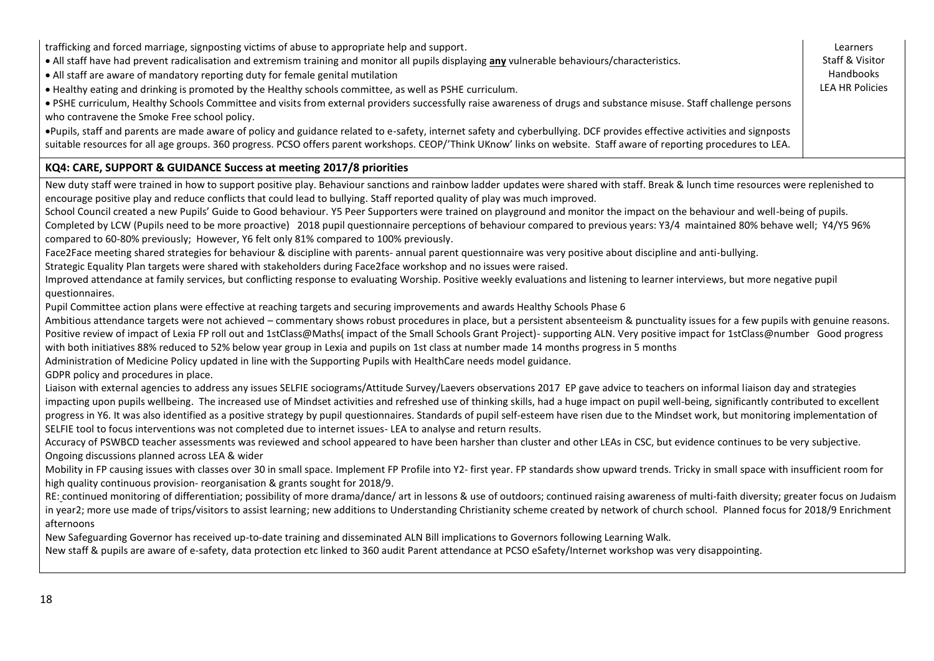| trafficking and forced marriage, signposting victims of abuse to appropriate help and support.<br>• All staff have had prevent radicalisation and extremism training and monitor all pupils displaying any vulnerable behaviours/characteristics.<br>• All staff are aware of mandatory reporting duty for female genital mutilation<br>. Healthy eating and drinking is promoted by the Healthy schools committee, as well as PSHE curriculum.<br>· PSHE curriculum, Healthy Schools Committee and visits from external providers successfully raise awareness of drugs and substance misuse. Staff challenge persons<br>who contravene the Smoke Free school policy.<br>. Pupils, staff and parents are made aware of policy and guidance related to e-safety, internet safety and cyberbullying. DCF provides effective activities and signposts<br>suitable resources for all age groups. 360 progress. PCSO offers parent workshops. CEOP/'Think UKnow' links on website. Staff aware of reporting procedures to LEA.                                                                                                                                                                                                                                                                                                                                                                                                                                                                                                                                                                                                                                                                                                                                                                                                                                                                                                                                                                                                                                                                                                                                                                                                                                                                                                                                                                                                                                                                                                                                                                                                                                                                                                                                                                                                                                                                                                                                                                                                                                                                                                                                                                                                                                                                                                                                                                                                                                                                                                                                                                                                                                                                                                                                                                                                                                                                                                                                                                                                                                      | Learners<br>Staff & Visitor<br>Handbooks<br><b>LEA HR Policies</b> |
|-----------------------------------------------------------------------------------------------------------------------------------------------------------------------------------------------------------------------------------------------------------------------------------------------------------------------------------------------------------------------------------------------------------------------------------------------------------------------------------------------------------------------------------------------------------------------------------------------------------------------------------------------------------------------------------------------------------------------------------------------------------------------------------------------------------------------------------------------------------------------------------------------------------------------------------------------------------------------------------------------------------------------------------------------------------------------------------------------------------------------------------------------------------------------------------------------------------------------------------------------------------------------------------------------------------------------------------------------------------------------------------------------------------------------------------------------------------------------------------------------------------------------------------------------------------------------------------------------------------------------------------------------------------------------------------------------------------------------------------------------------------------------------------------------------------------------------------------------------------------------------------------------------------------------------------------------------------------------------------------------------------------------------------------------------------------------------------------------------------------------------------------------------------------------------------------------------------------------------------------------------------------------------------------------------------------------------------------------------------------------------------------------------------------------------------------------------------------------------------------------------------------------------------------------------------------------------------------------------------------------------------------------------------------------------------------------------------------------------------------------------------------------------------------------------------------------------------------------------------------------------------------------------------------------------------------------------------------------------------------------------------------------------------------------------------------------------------------------------------------------------------------------------------------------------------------------------------------------------------------------------------------------------------------------------------------------------------------------------------------------------------------------------------------------------------------------------------------------------------------------------------------------------------------------------------------------------------------------------------------------------------------------------------------------------------------------------------------------------------------------------------------------------------------------------------------------------------------------------------------------------------------------------------------------------------------------------------------------------------------------------------------------------------------------------------------|--------------------------------------------------------------------|
| KQ4: CARE, SUPPORT & GUIDANCE Success at meeting 2017/8 priorities                                                                                                                                                                                                                                                                                                                                                                                                                                                                                                                                                                                                                                                                                                                                                                                                                                                                                                                                                                                                                                                                                                                                                                                                                                                                                                                                                                                                                                                                                                                                                                                                                                                                                                                                                                                                                                                                                                                                                                                                                                                                                                                                                                                                                                                                                                                                                                                                                                                                                                                                                                                                                                                                                                                                                                                                                                                                                                                                                                                                                                                                                                                                                                                                                                                                                                                                                                                                                                                                                                                                                                                                                                                                                                                                                                                                                                                                                                                                                                                              |                                                                    |
| New duty staff were trained in how to support positive play. Behaviour sanctions and rainbow ladder updates were shared with staff. Break & lunch time resources were replenished to<br>encourage positive play and reduce conflicts that could lead to bullying. Staff reported quality of play was much improved.<br>School Council created a new Pupils' Guide to Good behaviour. Y5 Peer Supporters were trained on playground and monitor the impact on the behaviour and well-being of pupils.<br>Completed by LCW (Pupils need to be more proactive) 2018 pupil questionnaire perceptions of behaviour compared to previous years: Y3/4 maintained 80% behave well; Y4/Y5 96%<br>compared to 60-80% previously; However, Y6 felt only 81% compared to 100% previously.<br>Face2Face meeting shared strategies for behaviour & discipline with parents- annual parent questionnaire was very positive about discipline and anti-bullying.<br>Strategic Equality Plan targets were shared with stakeholders during Face2face workshop and no issues were raised.<br>Improved attendance at family services, but conflicting response to evaluating Worship. Positive weekly evaluations and listening to learner interviews, but more negative pupil<br>questionnaires.<br>Pupil Committee action plans were effective at reaching targets and securing improvements and awards Healthy Schools Phase 6<br>Ambitious attendance targets were not achieved - commentary shows robust procedures in place, but a persistent absenteeism & punctuality issues for a few pupils with genuine reasons.<br>Positive review of impact of Lexia FP roll out and 1stClass@Maths( impact of the Small Schools Grant Project)- supporting ALN. Very positive impact for 1stClass@number Good progress<br>with both initiatives 88% reduced to 52% below year group in Lexia and pupils on 1st class at number made 14 months progress in 5 months<br>Administration of Medicine Policy updated in line with the Supporting Pupils with HealthCare needs model guidance.<br>GDPR policy and procedures in place.<br>Liaison with external agencies to address any issues SELFIE sociograms/Attitude Survey/Laevers observations 2017 EP gave advice to teachers on informal liaison day and strategies<br>impacting upon pupils wellbeing. The increased use of Mindset activities and refreshed use of thinking skills, had a huge impact on pupil well-being, significantly contributed to excellent<br>progress in Y6. It was also identified as a positive strategy by pupil questionnaires. Standards of pupil self-esteem have risen due to the Mindset work, but monitoring implementation of<br>SELFIE tool to focus interventions was not completed due to internet issues-LEA to analyse and return results.<br>Accuracy of PSWBCD teacher assessments was reviewed and school appeared to have been harsher than cluster and other LEAs in CSC, but evidence continues to be very subjective.<br>Ongoing discussions planned across LEA & wider<br>Mobility in FP causing issues with classes over 30 in small space. Implement FP Profile into Y2- first year. FP standards show upward trends. Tricky in small space with insufficient room for<br>high quality continuous provision- reorganisation & grants sought for 2018/9.<br>RE: continued monitoring of differentiation; possibility of more drama/dance/ art in lessons & use of outdoors; continued raising awareness of multi-faith diversity; greater focus on Judaism<br>in year2; more use made of trips/visitors to assist learning; new additions to Understanding Christianity scheme created by network of church school. Planned focus for 2018/9 Enrichment<br>afternoons<br>New Safeguarding Governor has received up-to-date training and disseminated ALN Bill implications to Governors following Learning Walk.<br>New staff & pupils are aware of e-safety, data protection etc linked to 360 audit Parent attendance at PCSO eSafety/Internet workshop was very disappointing. |                                                                    |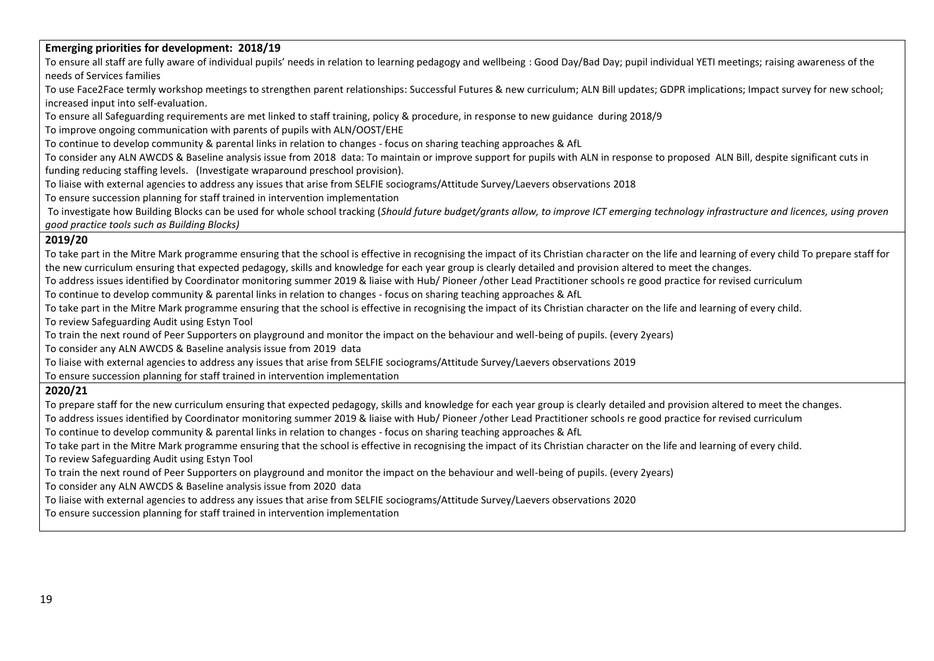#### **Emerging priorities for development: 2018/19**

To ensure all staff are fully aware of individual pupils' needs in relation to learning pedagogy and wellbeing : Good Day/Bad Day; pupil individual YETI meetings; raising awareness of the needs of Services families

To use Face2Face termly workshop meetings to strengthen parent relationships: Successful Futures & new curriculum; ALN Bill updates; GDPR implications; Impact survey for new school; increased input into self-evaluation.

To ensure all Safeguarding requirements are met linked to staff training, policy & procedure, in response to new guidance during 2018/9

To improve ongoing communication with parents of pupils with ALN/OOST/EHE

To continue to develop community & parental links in relation to changes - focus on sharing teaching approaches & AfL

To consider any ALN AWCDS & Baseline analysis issue from 2018 data: To maintain or improve support for pupils with ALN in response to proposed ALN Bill, despite significant cuts in

funding reducing staffing levels. (Investigate wraparound preschool provision).

To liaise with external agencies to address any issues that arise from SELFIE sociograms/Attitude Survey/Laevers observations 2018

To ensure succession planning for staff trained in intervention implementation

To investigate how Building Blocks can be used for whole school tracking (*Should future budget/grants allow, to improve ICT emerging technology infrastructure and licences, using proven good practice tools such as Building Blocks)*

#### **2019/20**

To take part in the Mitre Mark programme ensuring that the school is effective in recognising the impact of its Christian character on the life and learning of every child To prepare staff for the new curriculum ensuring that expected pedagogy, skills and knowledge for each year group is clearly detailed and provision altered to meet the changes.

To address issues identified by Coordinator monitoring summer 2019 & liaise with Hub/ Pioneer /other Lead Practitioner schools re good practice for revised curriculum

To continue to develop community & parental links in relation to changes - focus on sharing teaching approaches & AfL

To take part in the Mitre Mark programme ensuring that the school is effective in recognising the impact of its Christian character on the life and learning of every child.

To review Safeguarding Audit using Estyn Tool

To train the next round of Peer Supporters on playground and monitor the impact on the behaviour and well-being of pupils. (every 2years)

To consider any ALN AWCDS & Baseline analysis issue from 2019 data

To liaise with external agencies to address any issues that arise from SELFIE sociograms/Attitude Survey/Laevers observations 2019

To ensure succession planning for staff trained in intervention implementation

### **2020/21**

To prepare staff for the new curriculum ensuring that expected pedagogy, skills and knowledge for each year group is clearly detailed and provision altered to meet the changes.

To address issues identified by Coordinator monitoring summer 2019 & liaise with Hub/ Pioneer /other Lead Practitioner schools re good practice for revised curriculum

To continue to develop community & parental links in relation to changes - focus on sharing teaching approaches & AfL

To take part in the Mitre Mark programme ensuring that the school is effective in recognising the impact of its Christian character on the life and learning of every child.

To review Safeguarding Audit using Estyn Tool

To train the next round of Peer Supporters on playground and monitor the impact on the behaviour and well-being of pupils. (every 2years)

To consider any ALN AWCDS & Baseline analysis issue from 2020 data

To liaise with external agencies to address any issues that arise from SELFIE sociograms/Attitude Survey/Laevers observations 2020

To ensure succession planning for staff trained in intervention implementation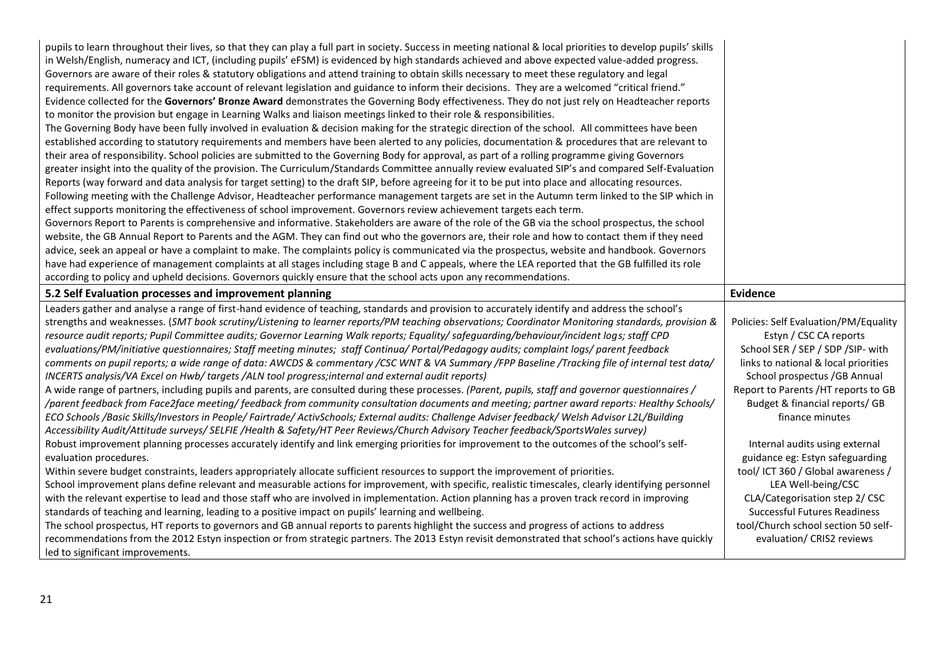| pupils to learn throughout their lives, so that they can play a full part in society. Success in meeting national & local priorities to develop pupils' skills<br>in Welsh/English, numeracy and ICT, (including pupils' eFSM) is evidenced by high standards achieved and above expected value-added progress.<br>Governors are aware of their roles & statutory obligations and attend training to obtain skills necessary to meet these regulatory and legal<br>requirements. All governors take account of relevant legislation and guidance to inform their decisions. They are a welcomed "critical friend."<br>Evidence collected for the Governors' Bronze Award demonstrates the Governing Body effectiveness. They do not just rely on Headteacher reports<br>to monitor the provision but engage in Learning Walks and liaison meetings linked to their role & responsibilities.<br>The Governing Body have been fully involved in evaluation & decision making for the strategic direction of the school. All committees have been |                                                                  |
|------------------------------------------------------------------------------------------------------------------------------------------------------------------------------------------------------------------------------------------------------------------------------------------------------------------------------------------------------------------------------------------------------------------------------------------------------------------------------------------------------------------------------------------------------------------------------------------------------------------------------------------------------------------------------------------------------------------------------------------------------------------------------------------------------------------------------------------------------------------------------------------------------------------------------------------------------------------------------------------------------------------------------------------------|------------------------------------------------------------------|
| established according to statutory requirements and members have been alerted to any policies, documentation & procedures that are relevant to                                                                                                                                                                                                                                                                                                                                                                                                                                                                                                                                                                                                                                                                                                                                                                                                                                                                                                 |                                                                  |
| their area of responsibility. School policies are submitted to the Governing Body for approval, as part of a rolling programme giving Governors                                                                                                                                                                                                                                                                                                                                                                                                                                                                                                                                                                                                                                                                                                                                                                                                                                                                                                |                                                                  |
| greater insight into the quality of the provision. The Curriculum/Standards Committee annually review evaluated SIP's and compared Self-Evaluation                                                                                                                                                                                                                                                                                                                                                                                                                                                                                                                                                                                                                                                                                                                                                                                                                                                                                             |                                                                  |
| Reports (way forward and data analysis for target setting) to the draft SIP, before agreeing for it to be put into place and allocating resources.                                                                                                                                                                                                                                                                                                                                                                                                                                                                                                                                                                                                                                                                                                                                                                                                                                                                                             |                                                                  |
| Following meeting with the Challenge Advisor, Headteacher performance management targets are set in the Autumn term linked to the SIP which in                                                                                                                                                                                                                                                                                                                                                                                                                                                                                                                                                                                                                                                                                                                                                                                                                                                                                                 |                                                                  |
| effect supports monitoring the effectiveness of school improvement. Governors review achievement targets each term.                                                                                                                                                                                                                                                                                                                                                                                                                                                                                                                                                                                                                                                                                                                                                                                                                                                                                                                            |                                                                  |
| Governors Report to Parents is comprehensive and informative. Stakeholders are aware of the role of the GB via the school prospectus, the school                                                                                                                                                                                                                                                                                                                                                                                                                                                                                                                                                                                                                                                                                                                                                                                                                                                                                               |                                                                  |
| website, the GB Annual Report to Parents and the AGM. They can find out who the governors are, their role and how to contact them if they need                                                                                                                                                                                                                                                                                                                                                                                                                                                                                                                                                                                                                                                                                                                                                                                                                                                                                                 |                                                                  |
| advice, seek an appeal or have a complaint to make. The complaints policy is communicated via the prospectus, website and handbook. Governors                                                                                                                                                                                                                                                                                                                                                                                                                                                                                                                                                                                                                                                                                                                                                                                                                                                                                                  |                                                                  |
| have had experience of management complaints at all stages including stage B and C appeals, where the LEA reported that the GB fulfilled its role                                                                                                                                                                                                                                                                                                                                                                                                                                                                                                                                                                                                                                                                                                                                                                                                                                                                                              |                                                                  |
| according to policy and upheld decisions. Governors quickly ensure that the school acts upon any recommendations.                                                                                                                                                                                                                                                                                                                                                                                                                                                                                                                                                                                                                                                                                                                                                                                                                                                                                                                              |                                                                  |
| 5.2 Self Evaluation processes and improvement planning                                                                                                                                                                                                                                                                                                                                                                                                                                                                                                                                                                                                                                                                                                                                                                                                                                                                                                                                                                                         | Evidence                                                         |
| Leaders gather and analyse a range of first-hand evidence of teaching, standards and provision to accurately identify and address the school's                                                                                                                                                                                                                                                                                                                                                                                                                                                                                                                                                                                                                                                                                                                                                                                                                                                                                                 |                                                                  |
|                                                                                                                                                                                                                                                                                                                                                                                                                                                                                                                                                                                                                                                                                                                                                                                                                                                                                                                                                                                                                                                |                                                                  |
| strengths and weaknesses. (SMT book scrutiny/Listening to learner reports/PM teaching observations; Coordinator Monitoring standards, provision &                                                                                                                                                                                                                                                                                                                                                                                                                                                                                                                                                                                                                                                                                                                                                                                                                                                                                              | Policies: Self Evaluation/PM/Equality                            |
| resource audit reports; Pupil Committee audits; Governor Learning Walk reports; Equality/ safeguarding/behaviour/incident logs; staff CPD                                                                                                                                                                                                                                                                                                                                                                                                                                                                                                                                                                                                                                                                                                                                                                                                                                                                                                      | Estyn / CSC CA reports                                           |
| evaluations/PM/initiative questionnaires; Staff meeting minutes; staff Continua/ Portal/Pedagogy audits; complaint logs/ parent feedback                                                                                                                                                                                                                                                                                                                                                                                                                                                                                                                                                                                                                                                                                                                                                                                                                                                                                                       | School SER / SEP / SDP / SIP- with                               |
| comments on pupil reports; a wide range of data: AWCDS & commentary /CSC WNT & VA Summary /FPP Baseline /Tracking file of internal test data/                                                                                                                                                                                                                                                                                                                                                                                                                                                                                                                                                                                                                                                                                                                                                                                                                                                                                                  | links to national & local priorities                             |
| INCERTS analysis/VA Excel on Hwb/ targets /ALN tool progress; internal and external audit reports)                                                                                                                                                                                                                                                                                                                                                                                                                                                                                                                                                                                                                                                                                                                                                                                                                                                                                                                                             | School prospectus / GB Annual                                    |
| A wide range of partners, including pupils and parents, are consulted during these processes. (Parent, pupils, staff and governor questionnaires/                                                                                                                                                                                                                                                                                                                                                                                                                                                                                                                                                                                                                                                                                                                                                                                                                                                                                              | Report to Parents /HT reports to GB                              |
| /parent feedback from Face2face meeting/ feedback from community consultation documents and meeting; partner award reports: Healthy Schools/                                                                                                                                                                                                                                                                                                                                                                                                                                                                                                                                                                                                                                                                                                                                                                                                                                                                                                   | Budget & financial reports/ GB                                   |
| ECO Schools /Basic Skills/Investors in People/ Fairtrade/ ActivSchools; External audits: Challenge Adviser feedback/ Welsh Advisor L2L/Building                                                                                                                                                                                                                                                                                                                                                                                                                                                                                                                                                                                                                                                                                                                                                                                                                                                                                                | finance minutes                                                  |
| Accessibility Audit/Attitude surveys/ SELFIE /Health & Safety/HT Peer Reviews/Church Advisory Teacher feedback/SportsWales survey)                                                                                                                                                                                                                                                                                                                                                                                                                                                                                                                                                                                                                                                                                                                                                                                                                                                                                                             |                                                                  |
| Robust improvement planning processes accurately identify and link emerging priorities for improvement to the outcomes of the school's self-                                                                                                                                                                                                                                                                                                                                                                                                                                                                                                                                                                                                                                                                                                                                                                                                                                                                                                   | Internal audits using external                                   |
| evaluation procedures.                                                                                                                                                                                                                                                                                                                                                                                                                                                                                                                                                                                                                                                                                                                                                                                                                                                                                                                                                                                                                         | guidance eg: Estyn safeguarding                                  |
| Within severe budget constraints, leaders appropriately allocate sufficient resources to support the improvement of priorities.                                                                                                                                                                                                                                                                                                                                                                                                                                                                                                                                                                                                                                                                                                                                                                                                                                                                                                                | tool/ ICT 360 / Global awareness /                               |
| School improvement plans define relevant and measurable actions for improvement, with specific, realistic timescales, clearly identifying personnel                                                                                                                                                                                                                                                                                                                                                                                                                                                                                                                                                                                                                                                                                                                                                                                                                                                                                            | LEA Well-being/CSC                                               |
| with the relevant expertise to lead and those staff who are involved in implementation. Action planning has a proven track record in improving                                                                                                                                                                                                                                                                                                                                                                                                                                                                                                                                                                                                                                                                                                                                                                                                                                                                                                 | CLA/Categorisation step 2/ CSC                                   |
| standards of teaching and learning, leading to a positive impact on pupils' learning and wellbeing.                                                                                                                                                                                                                                                                                                                                                                                                                                                                                                                                                                                                                                                                                                                                                                                                                                                                                                                                            | <b>Successful Futures Readiness</b>                              |
| The school prospectus, HT reports to governors and GB annual reports to parents highlight the success and progress of actions to address<br>recommendations from the 2012 Estyn inspection or from strategic partners. The 2013 Estyn revisit demonstrated that school's actions have quickly                                                                                                                                                                                                                                                                                                                                                                                                                                                                                                                                                                                                                                                                                                                                                  | tool/Church school section 50 self-<br>evaluation/ CRIS2 reviews |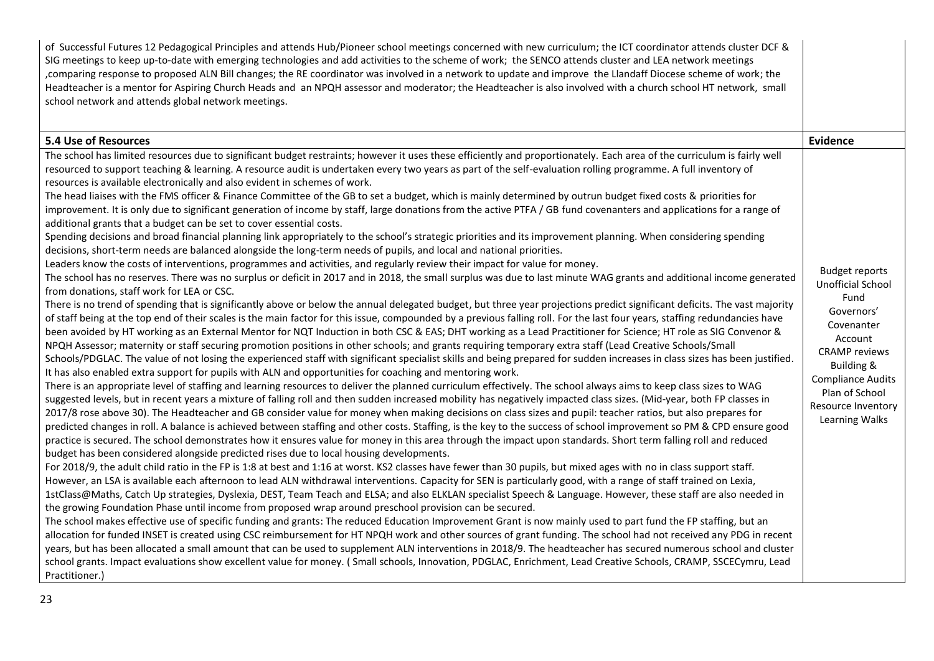| of Successful Futures 12 Pedagogical Principles and attends Hub/Pioneer school meetings concerned with new curriculum; the ICT coordinator attends cluster DCF &<br>SIG meetings to keep up-to-date with emerging technologies and add activities to the scheme of work; the SENCO attends cluster and LEA network meetings<br>, comparing response to proposed ALN Bill changes; the RE coordinator was involved in a network to update and improve the Llandaff Diocese scheme of work; the<br>Headteacher is a mentor for Aspiring Church Heads and an NPQH assessor and moderator; the Headteacher is also involved with a church school HT network, small<br>school network and attends global network meetings.                                                                                                                                                                                                                                                                                                                                                                                                                                                                                                                                                                                                                                                                                                                                                                                                                                                                                                                                                                                                                                                                                                                                                                                                                                                                                                                                                                                                                                                                                                                                                                                                                                                                                                                                                                                                                                                                                                                                                                                                                                                                                                                                                                                                                                                                                                                                                                                                                                                                                                                                                                                                                                                                                                                                                                                                                                                                                                                                                                                                                                                                                                                                                                                                                                                                                                                                                                                                                                                                                                                                                                                                                                                                                                                                                                                                                                                                                                                                                                                                                                        |                                                                                                                                                                                                                       |
|--------------------------------------------------------------------------------------------------------------------------------------------------------------------------------------------------------------------------------------------------------------------------------------------------------------------------------------------------------------------------------------------------------------------------------------------------------------------------------------------------------------------------------------------------------------------------------------------------------------------------------------------------------------------------------------------------------------------------------------------------------------------------------------------------------------------------------------------------------------------------------------------------------------------------------------------------------------------------------------------------------------------------------------------------------------------------------------------------------------------------------------------------------------------------------------------------------------------------------------------------------------------------------------------------------------------------------------------------------------------------------------------------------------------------------------------------------------------------------------------------------------------------------------------------------------------------------------------------------------------------------------------------------------------------------------------------------------------------------------------------------------------------------------------------------------------------------------------------------------------------------------------------------------------------------------------------------------------------------------------------------------------------------------------------------------------------------------------------------------------------------------------------------------------------------------------------------------------------------------------------------------------------------------------------------------------------------------------------------------------------------------------------------------------------------------------------------------------------------------------------------------------------------------------------------------------------------------------------------------------------------------------------------------------------------------------------------------------------------------------------------------------------------------------------------------------------------------------------------------------------------------------------------------------------------------------------------------------------------------------------------------------------------------------------------------------------------------------------------------------------------------------------------------------------------------------------------------------------------------------------------------------------------------------------------------------------------------------------------------------------------------------------------------------------------------------------------------------------------------------------------------------------------------------------------------------------------------------------------------------------------------------------------------------------------------------------------------------------------------------------------------------------------------------------------------------------------------------------------------------------------------------------------------------------------------------------------------------------------------------------------------------------------------------------------------------------------------------------------------------------------------------------------------------------------------------------------------------------------------------------------------------------------------------------------------------------------------------------------------------------------------------------------------------------------------------------------------------------------------------------------------------------------------------------------------------------------------------------------------------------------------------------------------------------------------------------------------------------------------------------------------|-----------------------------------------------------------------------------------------------------------------------------------------------------------------------------------------------------------------------|
| <b>5.4 Use of Resources</b>                                                                                                                                                                                                                                                                                                                                                                                                                                                                                                                                                                                                                                                                                                                                                                                                                                                                                                                                                                                                                                                                                                                                                                                                                                                                                                                                                                                                                                                                                                                                                                                                                                                                                                                                                                                                                                                                                                                                                                                                                                                                                                                                                                                                                                                                                                                                                                                                                                                                                                                                                                                                                                                                                                                                                                                                                                                                                                                                                                                                                                                                                                                                                                                                                                                                                                                                                                                                                                                                                                                                                                                                                                                                                                                                                                                                                                                                                                                                                                                                                                                                                                                                                                                                                                                                                                                                                                                                                                                                                                                                                                                                                                                                                                                                  | <b>Evidence</b>                                                                                                                                                                                                       |
| The school has limited resources due to significant budget restraints; however it uses these efficiently and proportionately. Each area of the curriculum is fairly well<br>resourced to support teaching & learning. A resource audit is undertaken every two years as part of the self-evaluation rolling programme. A full inventory of<br>resources is available electronically and also evident in schemes of work.<br>The head liaises with the FMS officer & Finance Committee of the GB to set a budget, which is mainly determined by outrun budget fixed costs & priorities for<br>improvement. It is only due to significant generation of income by staff, large donations from the active PTFA / GB fund covenanters and applications for a range of<br>additional grants that a budget can be set to cover essential costs.<br>Spending decisions and broad financial planning link appropriately to the school's strategic priorities and its improvement planning. When considering spending<br>decisions, short-term needs are balanced alongside the long-term needs of pupils, and local and national priorities.<br>Leaders know the costs of interventions, programmes and activities, and regularly review their impact for value for money.<br>The school has no reserves. There was no surplus or deficit in 2017 and in 2018, the small surplus was due to last minute WAG grants and additional income generated<br>from donations, staff work for LEA or CSC.<br>There is no trend of spending that is significantly above or below the annual delegated budget, but three year projections predict significant deficits. The vast majority<br>of staff being at the top end of their scales is the main factor for this issue, compounded by a previous falling roll. For the last four years, staffing redundancies have<br>been avoided by HT working as an External Mentor for NQT Induction in both CSC & EAS; DHT working as a Lead Practitioner for Science; HT role as SIG Convenor &<br>NPQH Assessor; maternity or staff securing promotion positions in other schools; and grants requiring temporary extra staff (Lead Creative Schools/Small<br>Schools/PDGLAC. The value of not losing the experienced staff with significant specialist skills and being prepared for sudden increases in class sizes has been justified.<br>It has also enabled extra support for pupils with ALN and opportunities for coaching and mentoring work.<br>There is an appropriate level of staffing and learning resources to deliver the planned curriculum effectively. The school always aims to keep class sizes to WAG<br>suggested levels, but in recent years a mixture of falling roll and then sudden increased mobility has negatively impacted class sizes. (Mid-year, both FP classes in<br>2017/8 rose above 30). The Headteacher and GB consider value for money when making decisions on class sizes and pupil: teacher ratios, but also prepares for<br>predicted changes in roll. A balance is achieved between staffing and other costs. Staffing, is the key to the success of school improvement so PM & CPD ensure good<br>practice is secured. The school demonstrates how it ensures value for money in this area through the impact upon standards. Short term falling roll and reduced<br>budget has been considered alongside predicted rises due to local housing developments.<br>For 2018/9, the adult child ratio in the FP is 1:8 at best and 1:16 at worst. KS2 classes have fewer than 30 pupils, but mixed ages with no in class support staff.<br>However, an LSA is available each afternoon to lead ALN withdrawal interventions. Capacity for SEN is particularly good, with a range of staff trained on Lexia,<br>1stClass@Maths, Catch Up strategies, Dyslexia, DEST, Team Teach and ELSA; and also ELKLAN specialist Speech & Language. However, these staff are also needed in<br>the growing Foundation Phase until income from proposed wrap around preschool provision can be secured.<br>The school makes effective use of specific funding and grants: The reduced Education Improvement Grant is now mainly used to part fund the FP staffing, but an<br>allocation for funded INSET is created using CSC reimbursement for HT NPQH work and other sources of grant funding. The school had not received any PDG in recent<br>years, but has been allocated a small amount that can be used to supplement ALN interventions in 2018/9. The headteacher has secured numerous school and cluster<br>school grants. Impact evaluations show excellent value for money. (Small schools, Innovation, PDGLAC, Enrichment, Lead Creative Schools, CRAMP, SSCECymru, Lead<br>Practitioner.) | <b>Budget reports</b><br>Unofficial School<br>Fund<br>Governors'<br>Covenanter<br>Account<br><b>CRAMP</b> reviews<br>Building &<br><b>Compliance Audits</b><br>Plan of School<br>Resource Inventory<br>Learning Walks |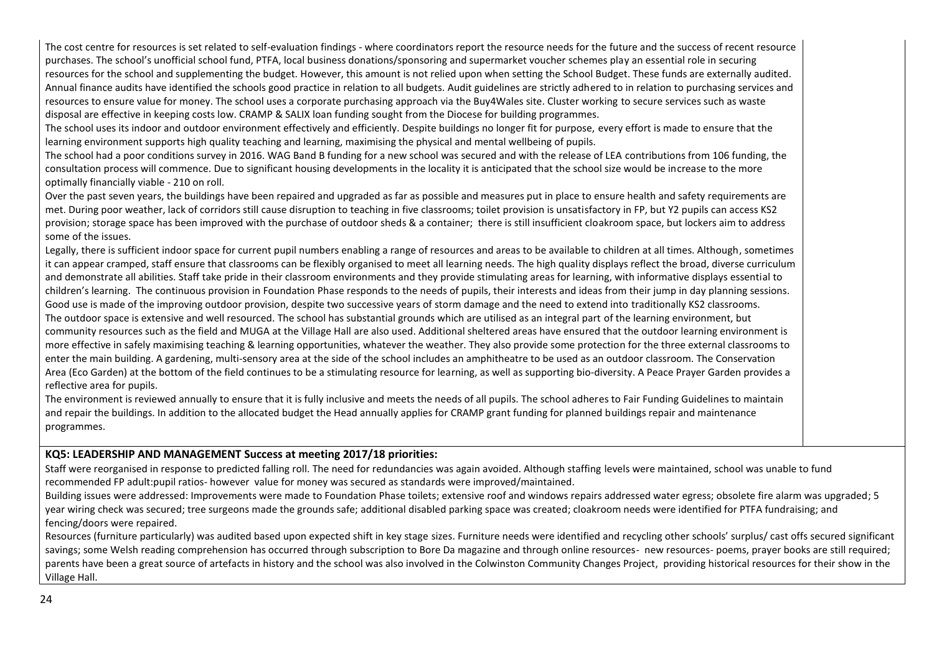The cost centre for resources is set related to self-evaluation findings - where coordinators report the resource needs for the future and the success of recent resource purchases. The school's unofficial school fund, PTFA, local business donations/sponsoring and supermarket voucher schemes play an essential role in securing resources for the school and supplementing the budget. However, this amount is not relied upon when setting the School Budget. These funds are externally audited. Annual finance audits have identified the schools good practice in relation to all budgets. Audit guidelines are strictly adhered to in relation to purchasing services and resources to ensure value for money. The school uses a corporate purchasing approach via the Buy4Wales site. Cluster working to secure services such as waste disposal are effective in keeping costs low. CRAMP & SALIX loan funding sought from the Diocese for building programmes.

The school uses its indoor and outdoor environment effectively and efficiently. Despite buildings no longer fit for purpose, every effort is made to ensure that the learning environment supports high quality teaching and learning, maximising the physical and mental wellbeing of pupils.

The school had a poor conditions survey in 2016. WAG Band B funding for a new school was secured and with the release of LEA contributions from 106 funding, the consultation process will commence. Due to significant housing developments in the locality it is anticipated that the school size would be increase to the more optimally financially viable - 210 on roll.

Over the past seven years, the buildings have been repaired and upgraded as far as possible and measures put in place to ensure health and safety requirements are met. During poor weather, lack of corridors still cause disruption to teaching in five classrooms; toilet provision is unsatisfactory in FP, but Y2 pupils can access KS2 provision; storage space has been improved with the purchase of outdoor sheds & a container; there is still insufficient cloakroom space, but lockers aim to address some of the issues.

Legally, there is sufficient indoor space for current pupil numbers enabling a range of resources and areas to be available to children at all times. Although, sometimes it can appear cramped, staff ensure that classrooms can be flexibly organised to meet all learning needs. The high quality displays reflect the broad, diverse curriculum and demonstrate all abilities. Staff take pride in their classroom environments and they provide stimulating areas for learning, with informative displays essential to children's learning. The continuous provision in Foundation Phase responds to the needs of pupils, their interests and ideas from their jump in day planning sessions. Good use is made of the improving outdoor provision, despite two successive years of storm damage and the need to extend into traditionally KS2 classrooms. The outdoor space is extensive and well resourced. The school has substantial grounds which are utilised as an integral part of the learning environment, but community resources such as the field and MUGA at the Village Hall are also used. Additional sheltered areas have ensured that the outdoor learning environment is more effective in safely maximising teaching & learning opportunities, whatever the weather. They also provide some protection for the three external classrooms to enter the main building. A gardening, multi-sensory area at the side of the school includes an amphitheatre to be used as an outdoor classroom. The Conservation Area (Eco Garden) at the bottom of the field continues to be a stimulating resource for learning, as well as supporting bio-diversity. A Peace Prayer Garden provides a reflective area for pupils.

The environment is reviewed annually to ensure that it is fully inclusive and meets the needs of all pupils. The school adheres to Fair Funding Guidelines to maintain and repair the buildings. In addition to the allocated budget the Head annually applies for CRAMP grant funding for planned buildings repair and maintenance programmes.

#### **KQ5: LEADERSHIP AND MANAGEMENT Success at meeting 2017/18 priorities:**

Staff were reorganised in response to predicted falling roll. The need for redundancies was again avoided. Although staffing levels were maintained, school was unable to fund recommended FP adult:pupil ratios- however value for money was secured as standards were improved/maintained.

Building issues were addressed: Improvements were made to Foundation Phase toilets; extensive roof and windows repairs addressed water egress; obsolete fire alarm was upgraded; 5 year wiring check was secured; tree surgeons made the grounds safe; additional disabled parking space was created; cloakroom needs were identified for PTFA fundraising; and fencing/doors were repaired.

Resources (furniture particularly) was audited based upon expected shift in key stage sizes. Furniture needs were identified and recycling other schools' surplus/ cast offs secured significant savings; some Welsh reading comprehension has occurred through subscription to Bore Da magazine and through online resources- new resources- poems, prayer books are still required; parents have been a great source of artefacts in history and the school was also involved in the Colwinston Community Changes Project, providing historical resources for their show in the Village Hall.